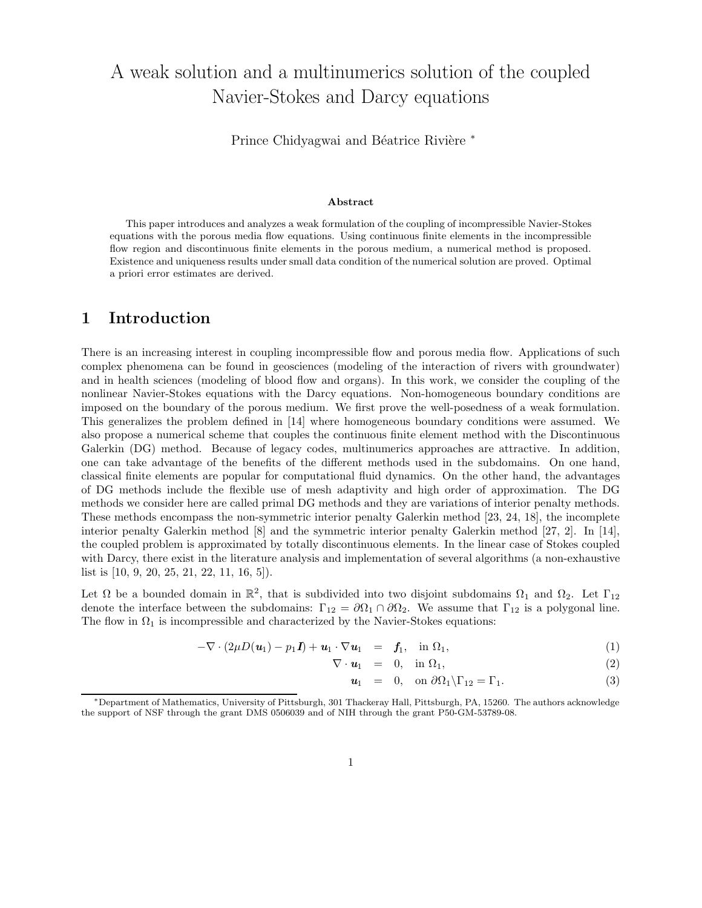# A weak solution and a multinumerics solution of the coupled Navier-Stokes and Darcy equations

Prince Chidyagwai and Béatrice Rivière <sup>∗</sup>

#### Abstract

This paper introduces and analyzes a weak formulation of the coupling of incompressible Navier-Stokes equations with the porous media flow equations. Using continuous finite elements in the incompressible flow region and discontinuous finite elements in the porous medium, a numerical method is proposed. Existence and uniqueness results under small data condition of the numerical solution are proved. Optimal a priori error estimates are derived.

### 1 Introduction

There is an increasing interest in coupling incompressible flow and porous media flow. Applications of such complex phenomena can be found in geosciences (modeling of the interaction of rivers with groundwater) and in health sciences (modeling of blood flow and organs). In this work, we consider the coupling of the nonlinear Navier-Stokes equations with the Darcy equations. Non-homogeneous boundary conditions are imposed on the boundary of the porous medium. We first prove the well-posedness of a weak formulation. This generalizes the problem defined in [14] where homogeneous boundary conditions were assumed. We also propose a numerical scheme that couples the continuous finite element method with the Discontinuous Galerkin (DG) method. Because of legacy codes, multinumerics approaches are attractive. In addition, one can take advantage of the benefits of the different methods used in the subdomains. On one hand, classical finite elements are popular for computational fluid dynamics. On the other hand, the advantages of DG methods include the flexible use of mesh adaptivity and high order of approximation. The DG methods we consider here are called primal DG methods and they are variations of interior penalty methods. These methods encompass the non-symmetric interior penalty Galerkin method [23, 24, 18], the incomplete interior penalty Galerkin method [8] and the symmetric interior penalty Galerkin method [27, 2]. In [14], the coupled problem is approximated by totally discontinuous elements. In the linear case of Stokes coupled with Darcy, there exist in the literature analysis and implementation of several algorithms (a non-exhaustive list is [10, 9, 20, 25, 21, 22, 11, 16, 5]).

Let  $\Omega$  be a bounded domain in  $\mathbb{R}^2$ , that is subdivided into two disjoint subdomains  $\Omega_1$  and  $\Omega_2$ . Let  $\Gamma_{12}$ denote the interface between the subdomains:  $\Gamma_{12} = \partial \Omega_1 \cap \partial \Omega_2$ . We assume that  $\Gamma_{12}$  is a polygonal line. The flow in  $\Omega_1$  is incompressible and characterized by the Navier-Stokes equations:

$$
-\nabla \cdot (2\mu D(\boldsymbol{u}_1) - p_1 \boldsymbol{I}) + \boldsymbol{u}_1 \cdot \nabla \boldsymbol{u}_1 = \boldsymbol{f}_1, \text{ in } \Omega_1,
$$
\n(1)

$$
\nabla \cdot \mathbf{u}_1 = 0, \quad \text{in } \Omega_1,\tag{2}
$$

$$
\mathbf{u}_1 = 0, \quad \text{on } \partial\Omega_1 \backslash \Gamma_{12} = \Gamma_1. \tag{3}
$$

<sup>∗</sup>Department of Mathematics, University of Pittsburgh, 301 Thackeray Hall, Pittsburgh, PA, 15260. The authors acknowledge the support of NSF through the grant DMS 0506039 and of NIH through the grant P50-GM-53789-08.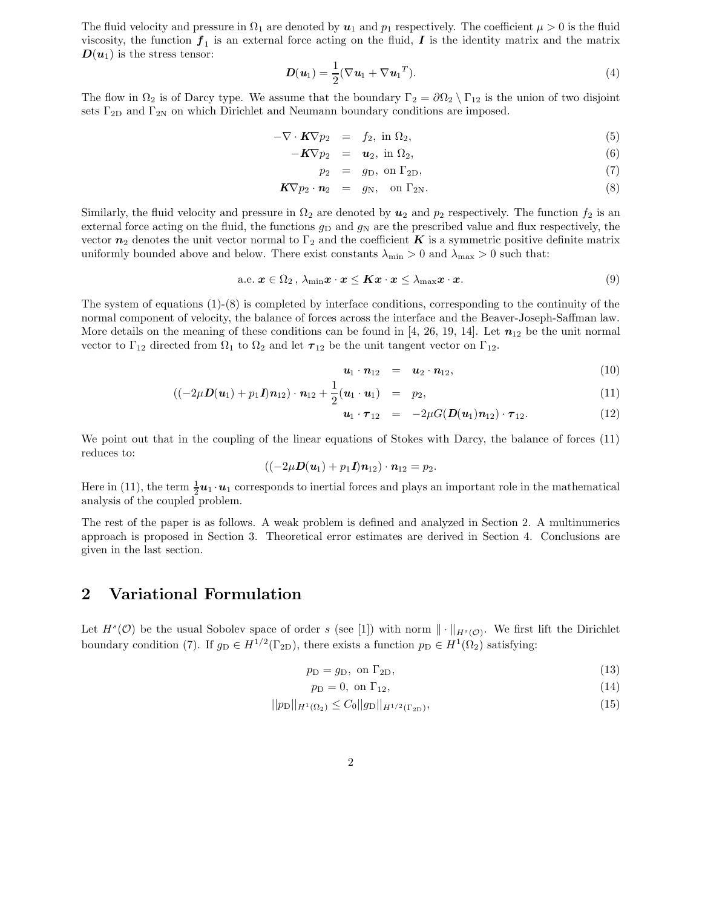The fluid velocity and pressure in  $\Omega_1$  are denoted by  $u_1$  and  $p_1$  respectively. The coefficient  $\mu > 0$  is the fluid viscosity, the function  $f_1$  is an external force acting on the fluid,  $I$  is the identity matrix and the matrix  $D(u_1)$  is the stress tensor:

$$
\boldsymbol{D}(\boldsymbol{u}_1) = \frac{1}{2} (\nabla \boldsymbol{u}_1 + \nabla \boldsymbol{u}_1^T). \tag{4}
$$

The flow in  $\Omega_2$  is of Darcy type. We assume that the boundary  $\Gamma_2 = \partial \Omega_2 \setminus \Gamma_{12}$  is the union of two disjoint sets  $\Gamma_{2D}$  and  $\Gamma_{2N}$  on which Dirichlet and Neumann boundary conditions are imposed.

$$
-\nabla \cdot \mathbf{K} \nabla p_2 = f_2, \text{ in } \Omega_2,
$$
\n<sup>(5)</sup>

$$
-K\nabla p_2 = \mathbf{u}_2, \text{ in } \Omega_2, \tag{6}
$$

$$
p_2 = g_D, \text{ on } \Gamma_{2D}, \tag{7}
$$

$$
\mathbf{K} \nabla p_2 \cdot \mathbf{n}_2 = g_N, \quad \text{on } \Gamma_{2N}.
$$
 (8)

Similarly, the fluid velocity and pressure in  $\Omega_2$  are denoted by  $u_2$  and  $p_2$  respectively. The function  $f_2$  is an external force acting on the fluid, the functions  $g_D$  and  $g_N$  are the prescribed value and flux respectively, the vector  $n_2$  denotes the unit vector normal to  $\Gamma_2$  and the coefficient K is a symmetric positive definite matrix uniformly bounded above and below. There exist constants  $\lambda_{\min} > 0$  and  $\lambda_{\max} > 0$  such that:

a.e. 
$$
x \in \Omega_2
$$
,  $\lambda_{\min} x \cdot x \leq Kx \cdot x \leq \lambda_{\max} x \cdot x$ . (9)

The system of equations  $(1)-(8)$  is completed by interface conditions, corresponding to the continuity of the normal component of velocity, the balance of forces across the interface and the Beaver-Joseph-Saffman law. More details on the meaning of these conditions can be found in [4, 26, 19, 14]. Let  $n_{12}$  be the unit normal vector to  $\Gamma_{12}$  directed from  $\Omega_1$  to  $\Omega_2$  and let  $\tau_{12}$  be the unit tangent vector on  $\Gamma_{12}$ .

$$
\mathbf{u}_1 \cdot \mathbf{n}_{12} = \mathbf{u}_2 \cdot \mathbf{n}_{12}, \tag{10}
$$

$$
((-2\mu \mathbf{D}(\mathbf{u}_1) + p_1 \mathbf{I})\mathbf{n}_{12}) \cdot \mathbf{n}_{12} + \frac{1}{2}(\mathbf{u}_1 \cdot \mathbf{u}_1) = p_2, \qquad (11)
$$

$$
\mathbf{u}_1 \cdot \boldsymbol{\tau}_{12} = -2\mu G(\boldsymbol{D}(\mathbf{u}_1)\mathbf{n}_{12}) \cdot \boldsymbol{\tau}_{12}. \tag{12}
$$

We point out that in the coupling of the linear equations of Stokes with Darcy, the balance of forces (11) reduces to:

$$
((-2\mu \mathbf{D}(\mathbf{u}_1) + p_1 \mathbf{I})\mathbf{n}_{12}) \cdot \mathbf{n}_{12} = p_2.
$$

Here in (11), the term  $\frac{1}{2}u_1 \cdot u_1$  corresponds to inertial forces and plays an important role in the mathematical analysis of the coupled problem.

The rest of the paper is as follows. A weak problem is defined and analyzed in Section 2. A multinumerics approach is proposed in Section 3. Theoretical error estimates are derived in Section 4. Conclusions are given in the last section.

### 2 Variational Formulation

Let  $H^s(\mathcal{O})$  be the usual Sobolev space of order s (see [1]) with norm  $\|\cdot\|_{H^s(\mathcal{O})}$ . We first lift the Dirichlet boundary condition (7). If  $g_D \in H^{1/2}(\Gamma_{2D})$ , there exists a function  $p_D \in H^1(\Omega_2)$  satisfying:

$$
p_{\rm D} = g_{\rm D}, \text{ on } \Gamma_{2\rm D},\tag{13}
$$

$$
p_{\rm D} = 0, \text{ on } \Gamma_{12},\tag{14}
$$

$$
||p_{\rm D}||_{H^1(\Omega_2)} \le C_0 ||g_{\rm D}||_{H^{1/2}(\Gamma_{2D})},\tag{15}
$$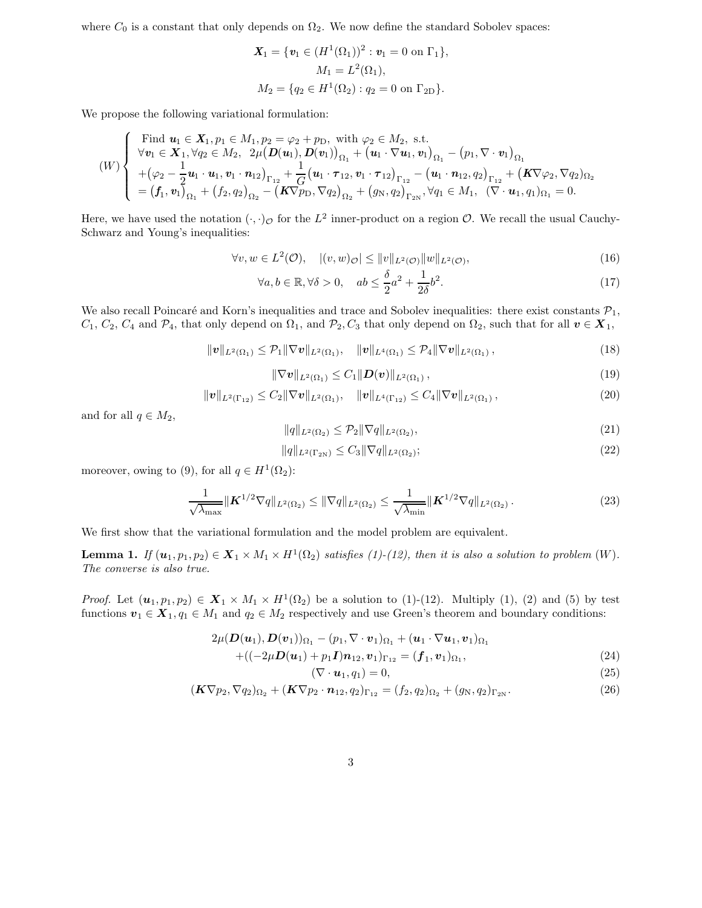where  $C_0$  is a constant that only depends on  $\Omega_2$ . We now define the standard Sobolev spaces:

$$
\mathbf{X}_1 = \{ \mathbf{v}_1 \in (H^1(\Omega_1))^2 : \mathbf{v}_1 = 0 \text{ on } \Gamma_1 \},
$$
  
\n
$$
M_1 = L^2(\Omega_1),
$$
  
\n
$$
M_2 = \{ q_2 \in H^1(\Omega_2) : q_2 = 0 \text{ on } \Gamma_{2D} \}.
$$

We propose the following variational formulation:

$$
(W) \begin{cases} \n\text{Find } \mathbf{u}_{1} \in \mathbf{X}_{1}, p_{1} \in M_{1}, p_{2} = \varphi_{2} + p_{D}, \text{ with } \varphi_{2} \in M_{2}, \text{ s.t.} \\
\forall \mathbf{v}_{1} \in \mathbf{X}_{1}, \forall q_{2} \in M_{2}, \ 2\mu (\mathbf{D}(\mathbf{u}_{1}), \mathbf{D}(\mathbf{v}_{1}))_{\Omega_{1}} + (\mathbf{u}_{1} \cdot \nabla \mathbf{u}_{1}, \mathbf{v}_{1})_{\Omega_{1}} - (p_{1}, \nabla \cdot \mathbf{v}_{1})_{\Omega_{1}} \\
+(\varphi_{2} - \frac{1}{2} \mathbf{u}_{1} \cdot \mathbf{u}_{1}, \mathbf{v}_{1} \cdot \mathbf{n}_{12})_{\Gamma_{12}} + \frac{1}{G} (\mathbf{u}_{1} \cdot \tau_{12}, \mathbf{v}_{1} \cdot \tau_{12})_{\Gamma_{12}} - (\mathbf{u}_{1} \cdot \mathbf{n}_{12}, q_{2})_{\Gamma_{12}} + (\mathbf{K} \nabla \varphi_{2}, \nabla q_{2})_{\Omega_{2}} \\
=(\mathbf{f}_{1}, \mathbf{v}_{1})_{\Omega_{1}} + (\mathbf{f}_{2}, q_{2})_{\Omega_{2}} - (\mathbf{K} \nabla p_{D}, \nabla q_{2})_{\Omega_{2}} + (\mathbf{g}_{N}, q_{2})_{\Gamma_{2N}}, \forall q_{1} \in M_{1}, \ (\nabla \cdot \mathbf{u}_{1}, q_{1})_{\Omega_{1}} = 0.\n\end{cases}
$$

Here, we have used the notation  $(\cdot, \cdot)_{\mathcal{O}}$  for the  $L^2$  inner-product on a region  $\mathcal{O}$ . We recall the usual Cauchy-Schwarz and Young's inequalities:

$$
\forall v, w \in L^2(\mathcal{O}), \quad |(v, w)_{\mathcal{O}}| \le ||v||_{L^2(\mathcal{O})} ||w||_{L^2(\mathcal{O})}, \tag{16}
$$

$$
\forall a, b \in \mathbb{R}, \forall \delta > 0, \quad ab \le \frac{\delta}{2}a^2 + \frac{1}{2\delta}b^2.
$$
 (17)

We also recall Poincaré and Korn's inequalities and trace and Sobolev inequalities: there exist constants  $\mathcal{P}_1$ ,  $C_1, C_2, C_4$  and  $\mathcal{P}_4$ , that only depend on  $\Omega_1$ , and  $\mathcal{P}_2, C_3$  that only depend on  $\Omega_2$ , such that for all  $v \in X_1$ ,

$$
\|\bm{v}\|_{L^{2}(\Omega_{1})} \leq \mathcal{P}_{1} \|\nabla \bm{v}\|_{L^{2}(\Omega_{1})}, \quad \|\bm{v}\|_{L^{4}(\Omega_{1})} \leq \mathcal{P}_{4} \|\nabla \bm{v}\|_{L^{2}(\Omega_{1})}, \tag{18}
$$

$$
\|\nabla \bm{v}\|_{L^2(\Omega_1)} \leq C_1 \|\bm{D}(\bm{v})\|_{L^2(\Omega_1)},
$$
\n(19)

$$
\|\boldsymbol{v}\|_{L^{2}(\Gamma_{12})} \leq C_{2} \|\nabla \boldsymbol{v}\|_{L^{2}(\Omega_{1})}, \quad \|\boldsymbol{v}\|_{L^{4}(\Gamma_{12})} \leq C_{4} \|\nabla \boldsymbol{v}\|_{L^{2}(\Omega_{1})}, \tag{20}
$$

and for all  $q\in M_2,$ 

$$
||q||_{L^{2}(\Omega_{2})} \leq \mathcal{P}_{2}||\nabla q||_{L^{2}(\Omega_{2})},
$$
\n(21)

$$
||q||_{L^{2}(\Gamma_{2N})} \leq C_{3} ||\nabla q||_{L^{2}(\Omega_{2})};
$$
\n(22)

moreover, owing to (9), for all  $q \in H^1(\Omega_2)$ :

$$
\frac{1}{\sqrt{\lambda_{\max}}} \|\mathbf{K}^{1/2} \nabla q\|_{L^2(\Omega_2)} \le \|\nabla q\|_{L^2(\Omega_2)} \le \frac{1}{\sqrt{\lambda_{\min}}} \|\mathbf{K}^{1/2} \nabla q\|_{L^2(\Omega_2)}.
$$
\n(23)

We first show that the variational formulation and the model problem are equivalent.

**Lemma 1.** If  $(u_1, p_1, p_2) \in X_1 \times M_1 \times H^1(\Omega_2)$  satisfies (1)-(12), then it is also a solution to problem (W). The converse is also true.

*Proof.* Let  $(u_1, p_1, p_2) \in X_1 \times M_1 \times H^1(\Omega_2)$  be a solution to (1)-(12). Multiply (1), (2) and (5) by test functions  $v_1 \in X_1, q_1 \in M_1$  and  $q_2 \in M_2$  respectively and use Green's theorem and boundary conditions:

$$
2\mu(\boldsymbol{D}(\boldsymbol{u}_1),\boldsymbol{D}(\boldsymbol{v}_1))_{\Omega_1}-(p_1,\nabla\cdot\boldsymbol{v}_1)_{\Omega_1}+(\boldsymbol{u}_1\cdot\nabla\boldsymbol{u}_1,\boldsymbol{v}_1)_{\Omega_1}
$$

$$
+((-2\mu \mathbf{D}(\mathbf{u}_1)+p_1\mathbf{I})\mathbf{n}_{12},\mathbf{v}_1)_{\Gamma_{12}}=(\mathbf{f}_1,\mathbf{v}_1)_{\Omega_1},
$$
\n(24)

$$
(\nabla \cdot \mathbf{u}_1, q_1) = 0,\t\t(25)
$$

$$
(\mathbf{K}\nabla p_2, \nabla q_2)_{\Omega_2} + (\mathbf{K}\nabla p_2 \cdot \mathbf{n}_{12}, q_2)_{\Gamma_{12}} = (f_2, q_2)_{\Omega_2} + (g_N, q_2)_{\Gamma_{2N}}.
$$
\n(26)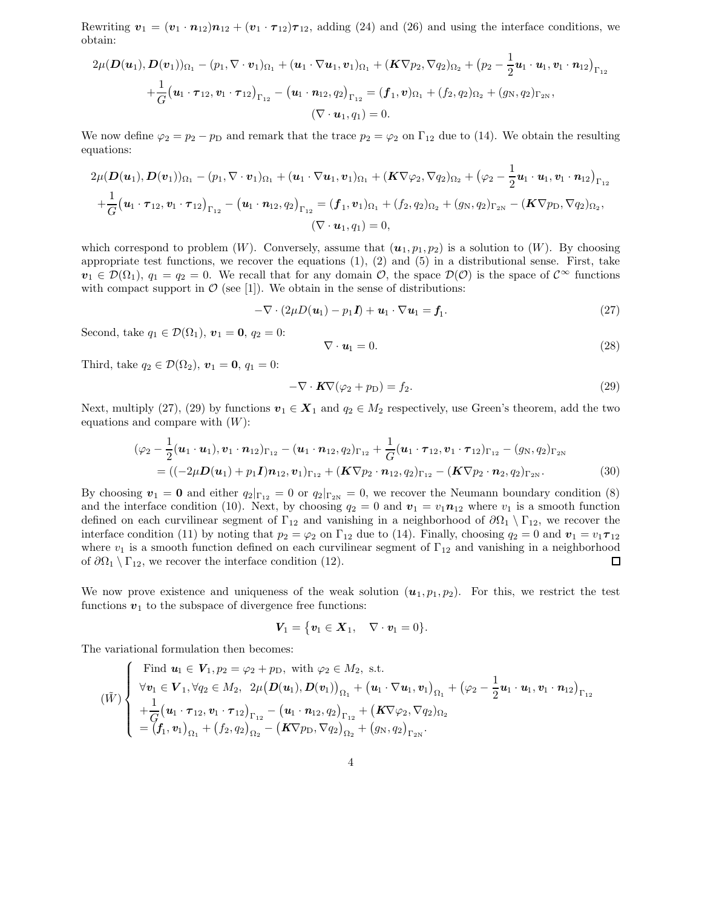Rewriting  $v_1 = (v_1 \cdot n_{12})n_{12} + (v_1 \cdot n_{12})n_{12}$ , adding (24) and (26) and using the interface conditions, we obtain:

$$
2\mu(\mathbf{D}(\mathbf{u}_1), \mathbf{D}(\mathbf{v}_1))_{\Omega_1} - (p_1, \nabla \cdot \mathbf{v}_1)_{\Omega_1} + (\mathbf{u}_1 \cdot \nabla \mathbf{u}_1, \mathbf{v}_1)_{\Omega_1} + (\mathbf{K} \nabla p_2, \nabla q_2)_{\Omega_2} + (p_2 - \frac{1}{2} \mathbf{u}_1 \cdot \mathbf{u}_1, \mathbf{v}_1 \cdot \mathbf{n}_{12})_{\Gamma_{12}} + \frac{1}{G} (\mathbf{u}_1 \cdot \boldsymbol{\tau}_{12}, \mathbf{v}_1 \cdot \boldsymbol{\tau}_{12})_{\Gamma_{12}} - (\mathbf{u}_1 \cdot \mathbf{n}_{12}, q_2)_{\Gamma_{12}} = (\mathbf{f}_1, \mathbf{v})_{\Omega_1} + (\mathbf{f}_2, q_2)_{\Omega_2} + (g_N, q_2)_{\Gamma_{2N}}, (\nabla \cdot \mathbf{u}_1, q_1) = 0.
$$

We now define  $\varphi_2 = p_2 - p_D$  and remark that the trace  $p_2 = \varphi_2$  on  $\Gamma_{12}$  due to (14). We obtain the resulting equations:

$$
2\mu(\mathbf{D}(\mathbf{u}_1),\mathbf{D}(\mathbf{v}_1))_{\Omega_1} - (p_1, \nabla \cdot \mathbf{v}_1)_{\Omega_1} + (\mathbf{u}_1 \cdot \nabla \mathbf{u}_1, \mathbf{v}_1)_{\Omega_1} + (\mathbf{K} \nabla \varphi_2, \nabla q_2)_{\Omega_2} + (\varphi_2 - \frac{1}{2} \mathbf{u}_1 \cdot \mathbf{u}_1, \mathbf{v}_1 \cdot \mathbf{n}_{12})_{\Gamma_{12}} + \frac{1}{G} (\mathbf{u}_1 \cdot \boldsymbol{\tau}_{12}, \mathbf{v}_1 \cdot \boldsymbol{\tau}_{12})_{\Gamma_{12}} - (\mathbf{u}_1 \cdot \mathbf{n}_{12}, q_2)_{\Gamma_{12}} = (\mathbf{f}_1, \mathbf{v}_1)_{\Omega_1} + (\mathbf{f}_2, q_2)_{\Omega_2} + (\mathbf{g}_N, q_2)_{\Gamma_{2N}} - (\mathbf{K} \nabla p_\text{D}, \nabla q_2)_{\Omega_2}, (\nabla \cdot \mathbf{u}_1, q_1) = 0,
$$

which correspond to problem  $(W)$ . Conversely, assume that  $(u_1, p_1, p_2)$  is a solution to  $(W)$ . By choosing appropriate test functions, we recover the equations  $(1), (2)$  and  $(5)$  in a distributional sense. First, take  $v_1 \in \mathcal{D}(\Omega_1)$ ,  $q_1 = q_2 = 0$ . We recall that for any domain  $\mathcal{O}$ , the space  $\mathcal{D}(\mathcal{O})$  is the space of  $\mathcal{C}^{\infty}$  functions with compact support in  $\mathcal{O}$  (see [1]). We obtain in the sense of distributions:

$$
-\nabla \cdot (2\mu D(\boldsymbol{u}_1) - p_1 \boldsymbol{I}) + \boldsymbol{u}_1 \cdot \nabla \boldsymbol{u}_1 = \boldsymbol{f}_1. \tag{27}
$$

Second, take  $q_1 \in \mathcal{D}(\Omega_1)$ ,  $\mathbf{v}_1 = \mathbf{0}$ ,  $q_2 = 0$ :

$$
\nabla \cdot \mathbf{u}_1 = 0. \tag{28}
$$

Third, take  $q_2 \in \mathcal{D}(\Omega_2)$ ,  $\mathbf{v}_1 = \mathbf{0}$ ,  $q_1 = 0$ :

$$
-\nabla \cdot \mathbf{K} \nabla (\varphi_2 + p_{\rm D}) = f_2. \tag{29}
$$

Next, multiply (27), (29) by functions  $v_1 \in X_1$  and  $q_2 \in M_2$  respectively, use Green's theorem, add the two equations and compare with  $(W)$ :

$$
(\varphi_2 - \frac{1}{2}(\boldsymbol{u}_1 \cdot \boldsymbol{u}_1), \boldsymbol{v}_1 \cdot \boldsymbol{n}_{12})_{\Gamma_{12}} - (\boldsymbol{u}_1 \cdot \boldsymbol{n}_{12}, q_2)_{\Gamma_{12}} + \frac{1}{G}(\boldsymbol{u}_1 \cdot \boldsymbol{\tau}_{12}, \boldsymbol{v}_1 \cdot \boldsymbol{\tau}_{12})_{\Gamma_{12}} - (g_N, q_2)_{\Gamma_{2N}}
$$
  
= ((-2\mu **D**( $\boldsymbol{u}_1$ ) +  $p_1 \boldsymbol{I}$ ) $\boldsymbol{n}_{12}, \boldsymbol{v}_1$ ) $\Gamma_{12}$  + ( $\boldsymbol{K} \nabla p_2 \cdot \boldsymbol{n}_{12}, q_2$ ) $\Gamma_{12}$  - ( $\boldsymbol{K} \nabla p_2 \cdot \boldsymbol{n}_2, q_2$ ) $\Gamma_{2N}$ . (30)

By choosing  $\mathbf{v}_1 = \mathbf{0}$  and either  $q_2|_{\Gamma_{12}} = 0$  or  $q_2|_{\Gamma_{2N}} = 0$ , we recover the Neumann boundary condition (8) and the interface condition (10). Next, by choosing  $q_2 = 0$  and  $v_1 = v_1 n_{12}$  where  $v_1$  is a smooth function defined on each curvilinear segment of  $\Gamma_{12}$  and vanishing in a neighborhood of  $\partial\Omega_1 \setminus \Gamma_{12}$ , we recover the interface condition (11) by noting that  $p_2 = \varphi_2$  on  $\Gamma_{12}$  due to (14). Finally, choosing  $q_2 = 0$  and  $v_1 = v_1 \tau_{12}$ where  $v_1$  is a smooth function defined on each curvilinear segment of  $\Gamma_{12}$  and vanishing in a neighborhood of  $\partial\Omega_1 \setminus \Gamma_{12}$ , we recover the interface condition (12).  $\Box$ 

We now prove existence and uniqueness of the weak solution  $(u_1, p_1, p_2)$ . For this, we restrict the test functions  $v_1$  to the subspace of divergence free functions:

$$
\boldsymbol{V}_1 = \{ \boldsymbol{v}_1 \in \boldsymbol{X}_1, \quad \nabla \cdot \boldsymbol{v}_1 = 0 \}.
$$

The variational formulation then becomes:

$$
(\tilde{W})\left\{\begin{array}{l}\text{Find } \mathbf{u}_{1} \in \mathbf{V}_{1}, p_{2} = \varphi_{2} + p_{D}, \text{ with } \varphi_{2} \in M_{2}, \text{ s.t.} \\ \forall \mathbf{v}_{1} \in \mathbf{V}_{1}, \forall q_{2} \in M_{2}, \ 2\mu(\mathbf{D}(\mathbf{u}_{1}), \mathbf{D}(\mathbf{v}_{1}))_{\Omega_{1}} + (\mathbf{u}_{1} \cdot \nabla \mathbf{u}_{1}, \mathbf{v}_{1})_{\Omega_{1}} + (\varphi_{2} - \frac{1}{2} \mathbf{u}_{1} \cdot \mathbf{u}_{1}, \mathbf{v}_{1} \cdot \mathbf{n}_{12})_{\Gamma_{12}} \\ + \frac{1}{G}(\mathbf{u}_{1} \cdot \boldsymbol{\tau}_{12}, \mathbf{v}_{1} \cdot \boldsymbol{\tau}_{12})_{\Gamma_{12}} - (\mathbf{u}_{1} \cdot \mathbf{n}_{12}, q_{2})_{\Gamma_{12}} + (\mathbf{K} \nabla \varphi_{2}, \nabla q_{2})_{\Omega_{2}} \\ = (\mathbf{f}_{1}, \mathbf{v}_{1})_{\Omega_{1}} + (\mathbf{f}_{2}, q_{2})_{\Omega_{2}} - (\mathbf{K} \nabla p_{D}, \nabla q_{2})_{\Omega_{2}} + (\mathbf{g}_{N}, q_{2})_{\Gamma_{2N}}.\end{array}\right.
$$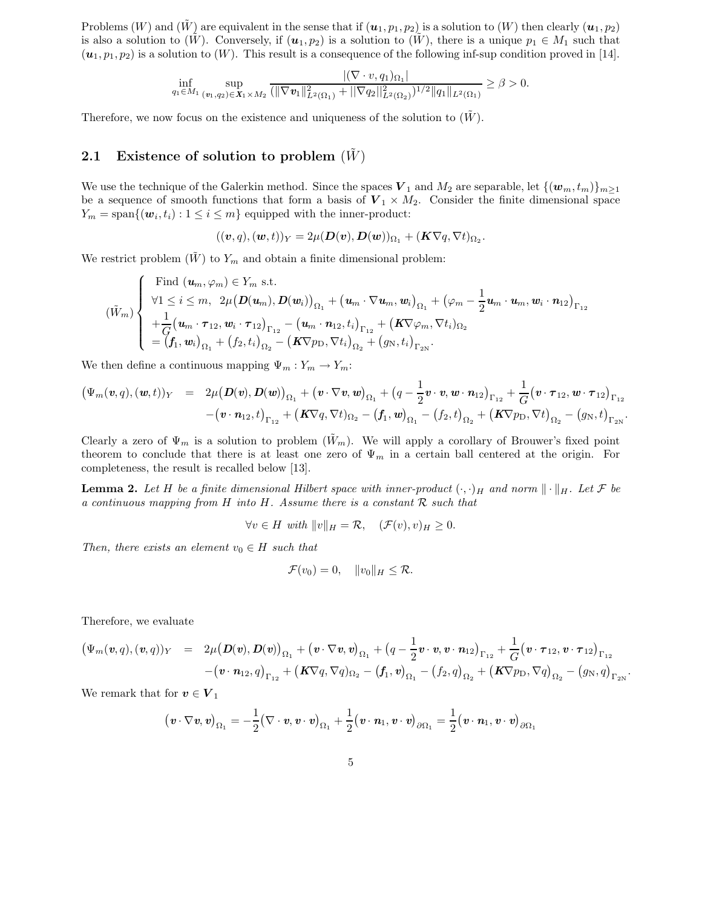Problems  $(W)$  and  $(W)$  are equivalent in the sense that if  $(u_1, p_1, p_2)$  is a solution to  $(W)$  then clearly  $(u_1, p_2)$ is also a solution to  $(\tilde{W})$ . Conversely, if  $(u_1, p_2)$  is a solution to  $(\tilde{W})$ , there is a unique  $p_1 \in M_1$  such that  $(u_1, p_1, p_2)$  is a solution to  $(W)$ . This result is a consequence of the following inf-sup condition proved in [14].

$$
\inf_{q_1 \in M_1} \sup_{(\mathbf{v}_1, q_2) \in \mathbf{X}_1 \times M_2} \frac{|(\nabla \cdot v, q_1)_{\Omega_1}|}{(\|\nabla \mathbf{v}_1\|_{L^2(\Omega_1)}^2 + \|\nabla q_2\|_{L^2(\Omega_2)}^2)^{1/2} \|q_1\|_{L^2(\Omega_1)}} \geq \beta > 0.
$$

Therefore, we now focus on the existence and uniqueness of the solution to  $(W)$ .

#### 2.1 Existence of solution to problem  $(W)$

We use the technique of the Galerkin method. Since the spaces  $V_1$  and  $M_2$  are separable, let  $\{(w_m, t_m)\}_{m\geq 1}$ be a sequence of smooth functions that form a basis of  $V_1 \times M_2$ . Consider the finite dimensional space  $Y_m = \text{span}\{(\boldsymbol{w}_i, t_i) : 1 \leq i \leq m\}$  equipped with the inner-product:

$$
((\boldsymbol{v},q),(\boldsymbol{w},t))_Y=2\mu(\boldsymbol{D}(\boldsymbol{v}),\boldsymbol{D}(\boldsymbol{w}))_{\Omega_1}+(\boldsymbol{K}\nabla q,\nabla t)_{\Omega_2}.
$$

We restrict problem  $(\tilde{W})$  to  $Y_m$  and obtain a finite dimensional problem:

$$
(\tilde{W}_m)\left\{\begin{array}{l}\text{Find }(\boldsymbol{u}_m,\varphi_m)\in Y_m\text{ s.t.}\\ \forall 1\leq i\leq m,\ \ 2\mu\big(\boldsymbol{D}(\boldsymbol{u}_m),\boldsymbol{D}(\boldsymbol{w}_i)\big)_{\Omega_1}+\big(\boldsymbol{u}_m\cdot\nabla\boldsymbol{u}_m,\boldsymbol{w}_i\big)_{\Omega_1}+\big(\varphi_m-\frac{1}{2}\boldsymbol{u}_m\cdot\boldsymbol{u}_m,\boldsymbol{w}_i\cdot\boldsymbol{n}_1\big)_{\Gamma_{12}}\\+\frac{1}{G}\big(\boldsymbol{u}_m\cdot\boldsymbol{\tau}_{12},\boldsymbol{w}_i\cdot\boldsymbol{\tau}_{12}\big)_{\Gamma_{12}}-\big(\boldsymbol{u}_m\cdot\boldsymbol{n}_{12},t_i\big)_{\Gamma_{12}}+\big(\boldsymbol{K}\nabla\varphi_m,\nabla t_i\big)_{\Omega_2}\\=\big(\boldsymbol{f}_1,\boldsymbol{w}_i\big)_{\Omega_1}+\big(\boldsymbol{f}_2,t_i\big)_{\Omega_2}-\big(\boldsymbol{K}\nabla p_\text{D},\nabla t_i\big)_{\Omega_2}+\big(g_\text{N},t_i\big)_{\Gamma_{2\text{N}}}.\end{array}\right.
$$

We then define a continuous mapping  $\Psi_m : Y_m \to Y_m$ :

$$
(\Psi_m(\mathbf{v},q),(\mathbf{w},t))_Y = 2\mu(D(\mathbf{v}),D(\mathbf{w}))_{\Omega_1} + (\mathbf{v}\cdot\nabla\mathbf{v},\mathbf{w})_{\Omega_1} + (q-\frac{1}{2}\mathbf{v}\cdot\mathbf{v},\mathbf{w}\cdot\mathbf{n}_{12})_{\Gamma_{12}} + \frac{1}{G}(\mathbf{v}\cdot\boldsymbol{\tau}_{12},\mathbf{w}\cdot\boldsymbol{\tau}_{12})_{\Gamma_{12}} - (\mathbf{v}\cdot\mathbf{n}_{12},t)_{\Gamma_{12}} + (\mathbf{K}\nabla q,\nabla t)_{\Omega_2} - (\mathbf{f}_1,\mathbf{w})_{\Omega_1} - (\mathbf{f}_2,t)_{\Omega_2} + (\mathbf{K}\nabla p_D,\nabla t)_{\Omega_2} - (g_N,t)_{\Gamma_{2N}}.
$$

Clearly a zero of  $\Psi_m$  is a solution to problem  $(\tilde{W}_m)$ . We will apply a corollary of Brouwer's fixed point theorem to conclude that there is at least one zero of  $\Psi_m$  in a certain ball centered at the origin. For completeness, the result is recalled below [13].

**Lemma 2.** Let H be a finite dimensional Hilbert space with inner-product  $(\cdot, \cdot)_H$  and norm  $\|\cdot\|_H$ . Let F be a continuous mapping from H into H. Assume there is a constant  $\mathcal R$  such that

$$
\forall v \in H \text{ with } ||v||_H = \mathcal{R}, \quad (\mathcal{F}(v), v)_H \ge 0.
$$

Then, there exists an element  $v_0 \in H$  such that

$$
\mathcal{F}(v_0)=0, \quad ||v_0||_H \leq \mathcal{R}.
$$

Therefore, we evaluate

$$
(\Psi_m(\mathbf{v},q),(\mathbf{v},q))_Y = 2\mu(\mathbf{D}(\mathbf{v}),\mathbf{D}(\mathbf{v}))_{\Omega_1} + (\mathbf{v}\cdot\nabla\mathbf{v},\mathbf{v})_{\Omega_1} + (q-\frac{1}{2}\mathbf{v}\cdot\mathbf{v},\mathbf{v}\cdot\mathbf{n}_{12})_{\Gamma_{12}} + \frac{1}{G}(\mathbf{v}\cdot\boldsymbol{\tau}_{12},\mathbf{v}\cdot\boldsymbol{\tau}_{12})_{\Gamma_{12}} - (\mathbf{v}\cdot\mathbf{n}_{12},q)_{\Gamma_{12}} + (\mathbf{K}\nabla q,\nabla q)_{\Omega_2} - (f_1,\mathbf{v})_{\Omega_1} - (f_2,q)_{\Omega_2} + (\mathbf{K}\nabla p_{\mathcal{D}},\nabla q)_{\Omega_2} - (g_{\mathcal{N}},q)_{\Gamma_{2\mathcal{N}}}.
$$

We remark that for  $\boldsymbol{v}\in \boldsymbol{V}_1$ 

$$
(\mathbf{v}\cdot\nabla\mathbf{v},\mathbf{v})_{\Omega_1}=-\frac{1}{2}(\nabla\cdot\mathbf{v},\mathbf{v}\cdot\mathbf{v})_{\Omega_1}+\frac{1}{2}(\mathbf{v}\cdot\mathbf{n}_1,\mathbf{v}\cdot\mathbf{v})_{\partial\Omega_1}=\frac{1}{2}(\mathbf{v}\cdot\mathbf{n}_1,\mathbf{v}\cdot\mathbf{v})_{\partial\Omega_1}
$$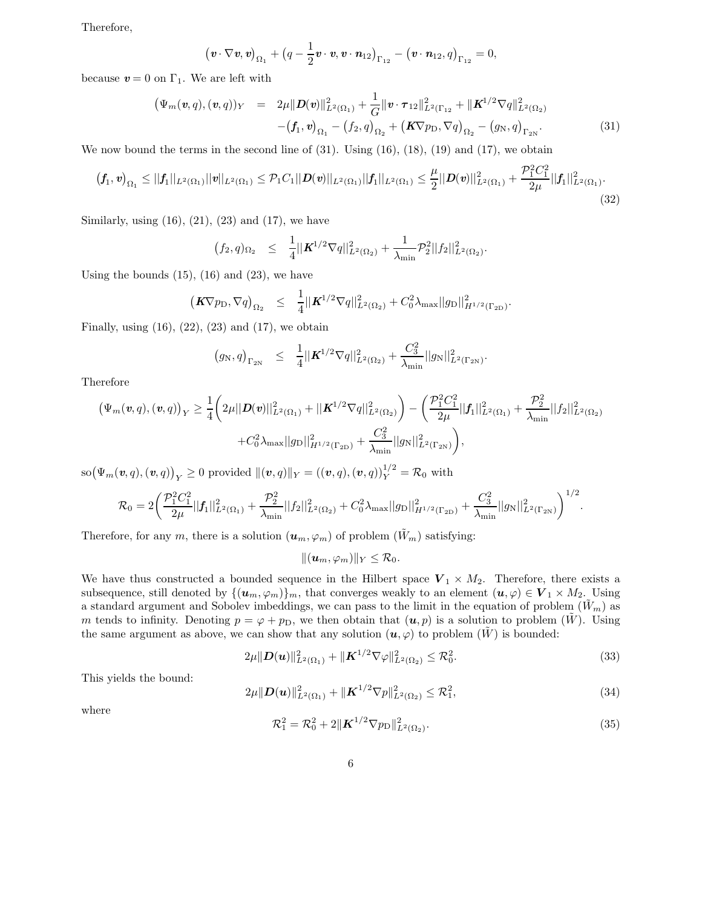Therefore,

$$
\left(\mathbf{v}\cdot\nabla\mathbf{v},\mathbf{v}\right)_{\Omega_1}+\left(q-\frac{1}{2}\mathbf{v}\cdot\mathbf{v},\mathbf{v}\cdot\mathbf{n}_{12}\right)_{\Gamma_{12}}-\left(\mathbf{v}\cdot\mathbf{n}_{12},q\right)_{\Gamma_{12}}=0,
$$

because  $v = 0$  on  $\Gamma_1$ . We are left with

$$
\begin{array}{rcl}\n(\Psi_m(\mathbf{v},q),(\mathbf{v},q))_Y &=& 2\mu \|D(\mathbf{v})\|_{L^2(\Omega_1)}^2 + \frac{1}{G} \|\mathbf{v} \cdot \boldsymbol{\tau}_{12}\|_{L^2(\Gamma_{12}}^2 + \|\boldsymbol{K}^{1/2} \nabla q\|_{L^2(\Omega_2)}^2 \\
&- (\boldsymbol{f}_1, \mathbf{v})_{\Omega_1} - (\boldsymbol{f}_2, q)_{\Omega_2} + (\boldsymbol{K} \nabla p_\text{D}, \nabla q)_{\Omega_2} - (\boldsymbol{g}_\text{N}, q)_{\Gamma_{2N}}.\n\end{array} \tag{31}
$$

We now bound the terms in the second line of  $(31)$ . Using  $(16)$ ,  $(18)$ ,  $(19)$  and  $(17)$ , we obtain

$$
(f_1, v)_{\Omega_1} \leq ||f_1||_{L^2(\Omega_1)} ||v||_{L^2(\Omega_1)} \leq \mathcal{P}_1 C_1 ||D(v)||_{L^2(\Omega_1)} ||f_1||_{L^2(\Omega_1)} \leq \frac{\mu}{2} ||D(v)||^2_{L^2(\Omega_1)} + \frac{\mathcal{P}_1^2 C_1^2}{2\mu} ||f_1||^2_{L^2(\Omega_1)}.
$$
\n(32)

Similarly, using  $(16)$ ,  $(21)$ ,  $(23)$  and  $(17)$ , we have

$$
(f_2, q)_{\Omega_2} \leq \frac{1}{4} ||\mathbf{K}^{1/2} \nabla q||_{L^2(\Omega_2)}^2 + \frac{1}{\lambda_{\min}} \mathcal{P}_2^2 ||f_2||_{L^2(\Omega_2)}^2.
$$

Using the bounds  $(15)$ ,  $(16)$  and  $(23)$ , we have

$$
\left(\boldsymbol{K} \nabla p_{\rm D}, \nabla q\right)_{\Omega_2} \leq \frac{1}{4} ||\boldsymbol{K}^{1/2} \nabla q||_{L^2(\Omega_2)}^2 + C_0^2 \lambda_{\max} ||g_{\rm D}||_{H^{1/2}(\Gamma_{2\rm D})}^2
$$

Finally, using  $(16)$ ,  $(22)$ ,  $(23)$  and  $(17)$ , we obtain

$$
(g_N, q)_{\Gamma_{2N}} \leq \frac{1}{4} ||\mathbf{K}^{1/2} \nabla q||_{L^2(\Omega_2)}^2 + \frac{C_3^2}{\lambda_{\min}} ||g_N||_{L^2(\Gamma_{2N})}^2
$$

Therefore

$$
\begin{aligned} \left(\Psi_m(\textbf{\textit{v}},q),( \textbf{\textit{v}},q)\right)_Y &\geq \frac{1}{4} \bigg( 2 \mu ||\textbf{\textit{D}}(\textbf{\textit{v}})||_{L^2(\Omega_1)}^2 + ||\textbf{\textit{K}}^{1/2} \nabla q||_{L^2(\Omega_2)}^2 \bigg) - \bigg( \frac{\mathcal{P}_1^2 C_1^2}{2 \mu} ||\textbf{\textit{f}}_1||_{L^2(\Omega_1)}^2 + \frac{\mathcal{P}_2^2}{\lambda_{\min}} ||f_2||_{L^2(\Omega_2)}^2 \\ &+ C_0^2 \lambda_{\max} ||g_D||_{H^{1/2}(\Gamma_{2D})}^2 + \frac{C_3^2}{\lambda_{\min}} ||g_N||_{L^2(\Gamma_{2N})}^2 \bigg), \end{aligned}
$$

 $\mathrm{so}\big(\Psi_m(\boldsymbol{v},q),(\boldsymbol{v},q)\big)_Y\geq 0\,\,\text{provided}\,\, \|( \boldsymbol{v},q)\|_Y= ((\boldsymbol{v},q),(\boldsymbol{v},q))^{1/2}_Y=\mathcal{R}_0\,\,\text{with}\,\,$ 

$$
\mathcal{R}_0 = 2 \bigg( \frac{\mathcal{P}_1^2 C_1^2}{2\mu} ||f_1||_{L^2(\Omega_1)}^2 + \frac{\mathcal{P}_2^2}{\lambda_{\min}} ||f_2||_{L^2(\Omega_2)}^2 + C_0^2 \lambda_{\max} ||g_D||_{H^{1/2}(\Gamma_{2D})}^2 + \frac{C_3^2}{\lambda_{\min}} ||g_N||_{L^2(\Gamma_{2N})}^2 \bigg)^{1/2}.
$$

Therefore, for any m, there is a solution  $(\mathbf{u}_m, \varphi_m)$  of problem  $(\tilde{W}_m)$  satisfying:

$$
||(\boldsymbol{u}_m,\varphi_m)||_Y\leq \mathcal{R}_0.
$$

We have thus constructed a bounded sequence in the Hilbert space  $V_1 \times M_2$ . Therefore, there exists a subsequence, still denoted by  $\{(u_m, \varphi_m)\}_m$ , that converges weakly to an element  $(u, \varphi) \in V_1 \times M_2$ . Using a standard argument and Sobolev imbeddings, we can pass to the limit in the equation of problem  $(\tilde{W}_m)$  as m tends to infinity. Denoting  $p = \varphi + p_D$ , we then obtain that  $(u, p)$  is a solution to problem  $(\tilde{W})$ . Using the same argument as above, we can show that any solution  $(u, \varphi)$  to problem  $(\tilde{W})$  is bounded:

$$
2\mu \|D(\boldsymbol{u})\|_{L^2(\Omega_1)}^2 + \|\boldsymbol{K}^{1/2}\nabla\varphi\|_{L^2(\Omega_2)}^2 \le \mathcal{R}_0^2. \tag{33}
$$

This yields the bound:

$$
2\mu \| \mathbf{D}(\mathbf{u}) \|_{L^2(\Omega_1)}^2 + \| \mathbf{K}^{1/2} \nabla p \|_{L^2(\Omega_2)}^2 \leq \mathcal{R}_1^2, \tag{34}
$$

where

$$
\mathcal{R}_1^2 = \mathcal{R}_0^2 + 2\|\mathbf{K}^{1/2}\nabla p_{\text{D}}\|_{L^2(\Omega_2)}^2.
$$
\n(35)

.

.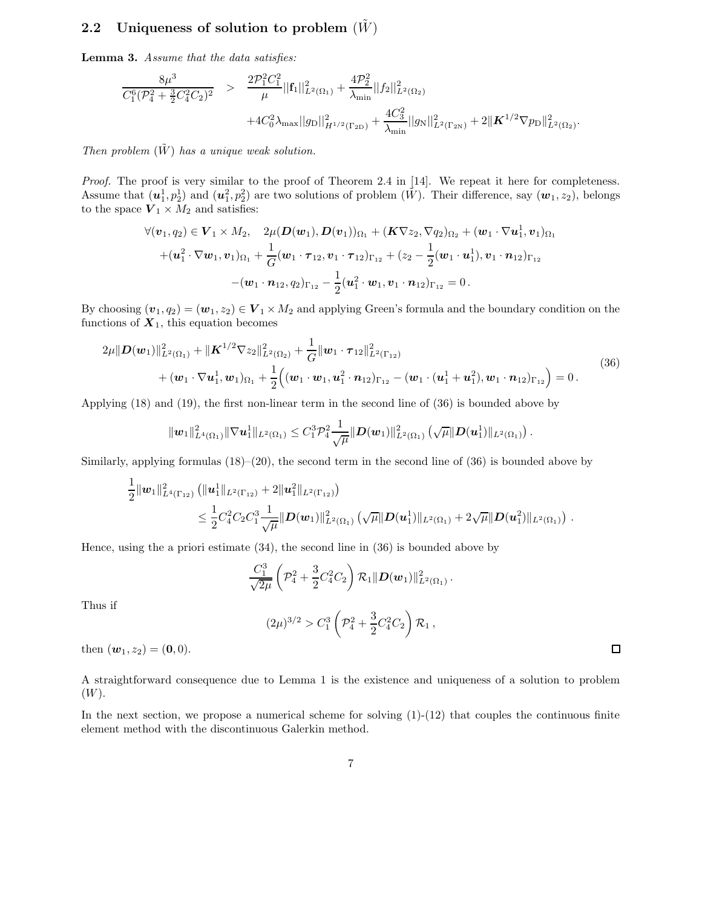### 2.2 Uniqueness of solution to problem  $(W)$

Lemma 3. Assume that the data satisfies:

$$
\frac{8\mu^3}{C_1^6(\mathcal{P}_4^2 + \frac{3}{2}C_4^2C_2)^2} > \frac{2\mathcal{P}_1^2C_1^2}{\mu}||\mathbf{f}_1||_{L^2(\Omega_1)}^2 + \frac{4\mathcal{P}_2^2}{\lambda_{\min}}||f_2||_{L^2(\Omega_2)}^2 + 4C_0^2\lambda_{\max}||g_D||_{H^{1/2}(\Gamma_{2D})}^2 + \frac{4C_3^2}{\lambda_{\min}}||g_N||_{L^2(\Gamma_{2N})}^2 + 2||\mathbf{K}^{1/2}\nabla p_D||_{L^2(\Omega_2)}^2.
$$

Then problem  $(\tilde{W})$  has a unique weak solution.

Proof. The proof is very similar to the proof of Theorem 2.4 in [14]. We repeat it here for completeness. Assume that  $(u_1^1, p_2^1)$  and  $(u_1^2, p_2^2)$  are two solutions of problem  $(\tilde{W})$ . Their difference, say  $(w_1, z_2)$ , belongs to the space  $V_1 \times M_2$  and satisfies:

$$
\forall (\boldsymbol{v}_1, q_2) \in \boldsymbol{V}_1 \times M_2, \quad 2\mu(\boldsymbol{D}(\boldsymbol{w}_1), \boldsymbol{D}(\boldsymbol{v}_1))_{\Omega_1} + (\boldsymbol{K}\nabla z_2, \nabla q_2)_{\Omega_2} + (\boldsymbol{w}_1 \cdot \nabla \boldsymbol{u}_1^1, \boldsymbol{v}_1)_{\Omega_1} + (\boldsymbol{u}_1^2 \cdot \nabla \boldsymbol{w}_1, \boldsymbol{v}_1)_{\Omega_1} + \frac{1}{G}(\boldsymbol{w}_1 \cdot \boldsymbol{\tau}_{12}, \boldsymbol{v}_1 \cdot \boldsymbol{\tau}_{12})_{\Gamma_{12}} + (z_2 - \frac{1}{2}(\boldsymbol{w}_1 \cdot \boldsymbol{u}_1^1), \boldsymbol{v}_1 \cdot \boldsymbol{n}_{12})_{\Gamma_{12}} - (\boldsymbol{w}_1 \cdot \boldsymbol{n}_{12}, q_2)_{\Gamma_{12}} - \frac{1}{2}(\boldsymbol{u}_1^2 \cdot \boldsymbol{w}_1, \boldsymbol{v}_1 \cdot \boldsymbol{n}_{12})_{\Gamma_{12}} = 0.
$$

By choosing  $(v_1, q_2) = (w_1, z_2) \in V_1 \times M_2$  and applying Green's formula and the boundary condition on the functions of  $X_1$ , this equation becomes

$$
2\mu \|D(\mathbf{w}_1)\|_{L^2(\Omega_1)}^2 + \|\mathbf{K}^{1/2}\nabla z_2\|_{L^2(\Omega_2)}^2 + \frac{1}{G} \|\mathbf{w}_1 \cdot \boldsymbol{\tau}_{12}\|_{L^2(\Gamma_{12})}^2 + (\mathbf{w}_1 \cdot \nabla \mathbf{u}_1^1, \mathbf{w}_1)_{\Omega_1} + \frac{1}{2} ((\mathbf{w}_1 \cdot \mathbf{w}_1, \mathbf{u}_1^2 \cdot \mathbf{n}_{12})_{\Gamma_{12}} - (\mathbf{w}_1 \cdot (\mathbf{u}_1^1 + \mathbf{u}_1^2), \mathbf{w}_1 \cdot \mathbf{n}_{12})_{\Gamma_{12}}) = 0.
$$
\n(36)

.

 $\Box$ 

Applying (18) and (19), the first non-linear term in the second line of (36) is bounded above by

$$
\|\boldsymbol{w}_1\|_{L^4(\Omega_1)}^2 \|\nabla \boldsymbol{u}_1^1\|_{L^2(\Omega_1)} \leq C_1^3 \mathcal{P}_4^2 \frac{1}{\sqrt{\mu}} \|\boldsymbol{D}(\boldsymbol{w}_1)\|_{L^2(\Omega_1)}^2 \left(\sqrt{\mu} \|\boldsymbol{D}(\boldsymbol{u}_1^1)\|_{L^2(\Omega_1)}\right)
$$

Similarly, applying formulas  $(18)–(20)$ , the second term in the second line of  $(36)$  is bounded above by

$$
\frac{1}{2} ||w_1||^2_{L^4(\Gamma_{12})} (||u_1^1||_{L^2(\Gamma_{12})} + 2||u_1^2||_{L^2(\Gamma_{12})})
$$
\n
$$
\leq \frac{1}{2} C_4^2 C_2 C_1^3 \frac{1}{\sqrt{\mu}} ||D(w_1)||^2_{L^2(\Omega_1)} (\sqrt{\mu} ||D(u_1^1)||_{L^2(\Omega_1)} + 2\sqrt{\mu} ||D(u_1^2)||_{L^2(\Omega_1)}).
$$

Hence, using the a priori estimate (34), the second line in (36) is bounded above by

$$
\frac{C_1^3}{\sqrt{2\mu}} \left(\mathcal{P}_4^2 + \frac{3}{2} C_4^2 C_2\right) \mathcal{R}_1 \| \boldsymbol{D}(\boldsymbol{w}_1) \|_{L^2(\Omega_1)}^2 \,.
$$

Thus if

$$
(2\mu)^{3/2} > C_1^3 \left(\mathcal{P}_4^2 + \frac{3}{2}C_4^2 C_2\right) \mathcal{R}_1,
$$

then  $(\mathbf{w}_1, z_2) = (\mathbf{0}, 0).$ 

A straightforward consequence due to Lemma 1 is the existence and uniqueness of a solution to problem (W).

In the next section, we propose a numerical scheme for solving  $(1)-(12)$  that couples the continuous finite element method with the discontinuous Galerkin method.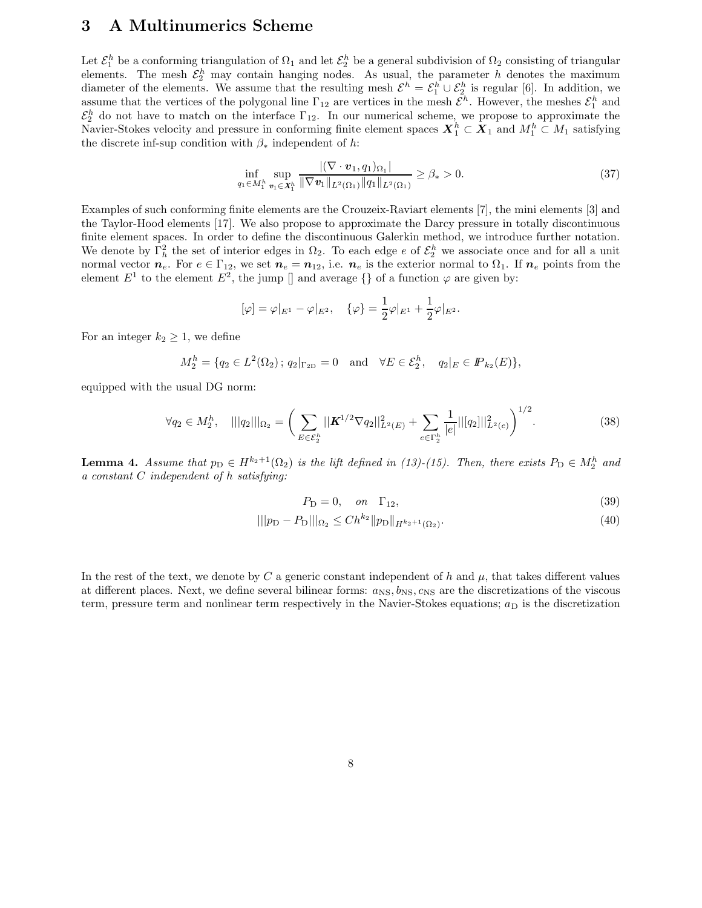### 3 A Multinumerics Scheme

Let  $\mathcal{E}_1^h$  be a conforming triangulation of  $\Omega_1$  and let  $\mathcal{E}_2^h$  be a general subdivision of  $\Omega_2$  consisting of triangular elements. The mesh  $\mathcal{E}_2^h$  may contain hanging nodes. As usual, the parameter h denotes the maximum diameter of the elements. We assume that the resulting mesh  $\mathcal{E}^h = \mathcal{E}^h_1 \cup \mathcal{E}^h_2$  is regular [6]. In addition, we assume that the vertices of the polygonal line  $\Gamma_{12}$  are vertices in the mesh  $\mathcal{E}^h$ . However, the meshes  $\mathcal{E}^h_1$  and  $\mathcal{E}_2^h$  do not have to match on the interface  $\Gamma_{12}$ . In our numerical scheme, we propose to approximate the Navier-Stokes velocity and pressure in conforming finite element spaces  $X_1^h \subset X_1$  and  $M_1^h \subset M_1$  satisfying the discrete inf-sup condition with  $\beta_*$  independent of h:

$$
\inf_{q_1 \in M_1^h} \sup_{\mathbf{v}_1 \in \mathbf{X}_1^h} \frac{|(\nabla \cdot \mathbf{v}_1, q_1)_{\Omega_1}|}{\|\nabla \mathbf{v}_1\|_{L^2(\Omega_1)} \|q_1\|_{L^2(\Omega_1)}} \ge \beta_* > 0.
$$
\n(37)

Examples of such conforming finite elements are the Crouzeix-Raviart elements [7], the mini elements [3] and the Taylor-Hood elements [17]. We also propose to approximate the Darcy pressure in totally discontinuous finite element spaces. In order to define the discontinuous Galerkin method, we introduce further notation. We denote by  $\Gamma_h^2$  the set of interior edges in  $\Omega_2$ . To each edge e of  $\mathcal{E}_2^h$  we associate once and for all a unit normal vector  $n_e$ . For  $e \in \Gamma_{12}$ , we set  $n_e = n_{12}$ , i.e.  $n_e$  is the exterior normal to  $\Omega_1$ . If  $n_e$  points from the element  $E^1$  to the element  $E^2$ , the jump [] and average  $\{\}$  of a function  $\varphi$  are given by:

$$
[\varphi] = \varphi|_{E^1} - \varphi|_{E^2}, \quad {\varphi} = \frac{1}{2}\varphi|_{E^1} + \frac{1}{2}\varphi|_{E^2}.
$$

For an integer  $k_2 \geq 1$ , we define

$$
M_2^h = \{ q_2 \in L^2(\Omega_2) \, ; \, q_2|_{\Gamma_{2D}} = 0 \quad \text{and} \quad \forall E \in \mathcal{E}_2^h, \quad q_2|_E \in I\!\!P_{k_2}(E) \},
$$

equipped with the usual DG norm:

$$
\forall q_2 \in M_2^h, \quad |||q_2|||_{\Omega_2} = \left(\sum_{E \in \mathcal{E}_2^h} ||\mathbf{K}^{1/2} \nabla q_2||_{L^2(E)}^2 + \sum_{e \in \Gamma_2^h} \frac{1}{|e|} ||[q_2]||_{L^2(e)}^2\right)^{1/2}.
$$
 (38)

**Lemma 4.** Assume that  $p_D \in H^{k_2+1}(\Omega_2)$  is the lift defined in (13)-(15). Then, there exists  $P_D \in M_2^h$  and a constant C independent of h satisfying:

$$
P_{\rm D} = 0, \quad on \quad \Gamma_{12}, \tag{39}
$$

$$
|||p_{\mathcal{D}} - P_{\mathcal{D}}|||_{\Omega_2} \le C h^{k_2} ||p_{\mathcal{D}}||_{H^{k_2+1}(\Omega_2)}.
$$
\n(40)

In the rest of the text, we denote by C a generic constant independent of h and  $\mu$ , that takes different values at different places. Next, we define several bilinear forms:  $a_{\text{NS}}, b_{\text{NS}}, c_{\text{NS}}$  are the discretizations of the viscous term, pressure term and nonlinear term respectively in the Navier-Stokes equations;  $a<sub>D</sub>$  is the discretization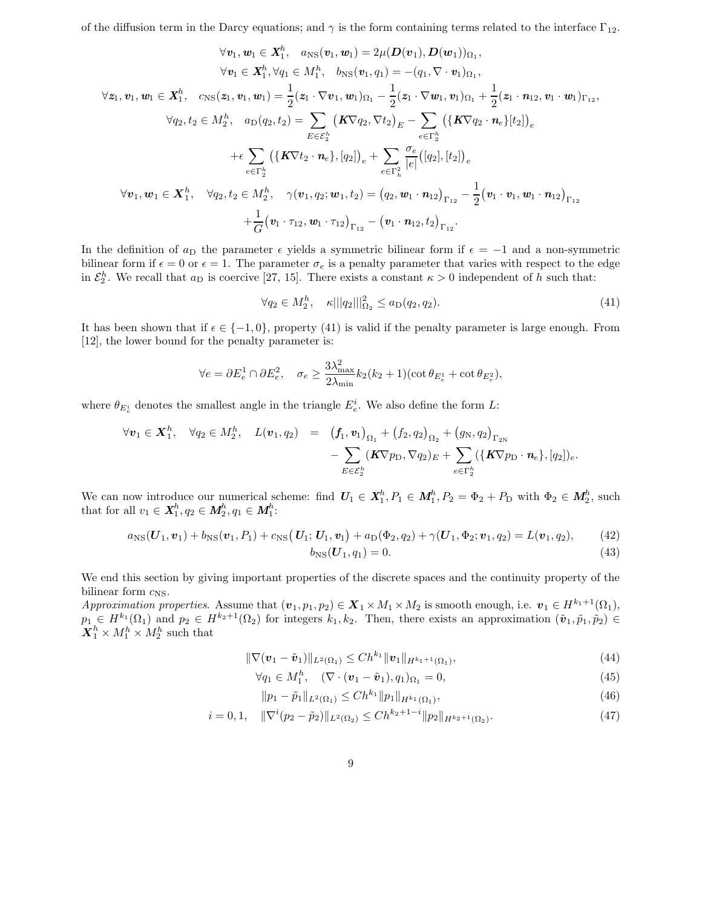of the diffusion term in the Darcy equations; and  $\gamma$  is the form containing terms related to the interface  $\Gamma_{12}$ .

$$
\forall v_1, w_1 \in X_1^h, a_{NS}(v_1, w_1) = 2\mu(D(v_1), D(w_1))_{\Omega_1},
$$
  
\n
$$
\forall v_1 \in X_1^h, \forall q_1 \in M_1^h, b_{NS}(v_1, q_1) = -(q_1, \nabla \cdot v_1)_{\Omega_1},
$$
  
\n
$$
\forall z_1, v_1, w_1 \in X_1^h, c_{NS}(z_1, v_1, w_1) = \frac{1}{2}(z_1 \cdot \nabla v_1, w_1)_{\Omega_1} - \frac{1}{2}(z_1 \cdot \nabla w_1, v_1)_{\Omega_1} + \frac{1}{2}(z_1 \cdot n_{12}, v_1 \cdot w_1)_{\Gamma_{12}},
$$
  
\n
$$
\forall q_2, t_2 \in M_2^h, a_{D}(q_2, t_2) = \sum_{E \in \mathcal{E}_2^h} (K\nabla q_2, \nabla t_2)_{E} - \sum_{e \in \Gamma_2^h} ((K\nabla q_2 \cdot n_e)_{t_2})_{e}
$$
  
\n
$$
+ \epsilon \sum_{e \in \Gamma_2^h} ((K\nabla t_2 \cdot n_e), [q_2])_{e} + \sum_{e \in \Gamma_2^h} \frac{\sigma_e}{|e|} ([q_2], [t_2])_{e}
$$
  
\n
$$
\forall v_1, w_1 \in X_1^h, \quad \forall q_2, t_2 \in M_2^h, \quad \gamma(v_1, q_2; w_1, t_2) = (q_2, w_1 \cdot n_{12})_{\Gamma_{12}} - \frac{1}{2}(v_1 \cdot v_1, w_1 \cdot n_{12})_{\Gamma_{12}} + \frac{1}{G}(v_1 \cdot r_{12}, w_1 \cdot r_{12})_{\Gamma_{12}} - (v_1 \cdot n_{12}, t_2)_{\Gamma_{12}}.
$$

In the definition of  $a_D$  the parameter  $\epsilon$  yields a symmetric bilinear form if  $\epsilon = -1$  and a non-symmetric bilinear form if  $\epsilon = 0$  or  $\epsilon = 1$ . The parameter  $\sigma_e$  is a penalty parameter that varies with respect to the edge in  $\mathcal{E}_2^h$ . We recall that  $a_D$  is coercive [27, 15]. There exists a constant  $\kappa > 0$  independent of h such that:

$$
\forall q_2 \in M_2^h, \quad \kappa |||q_2||^2_{\Omega_2} \le a_D(q_2, q_2). \tag{41}
$$

It has been shown that if  $\epsilon \in \{-1, 0\}$ , property (41) is valid if the penalty parameter is large enough. From [12], the lower bound for the penalty parameter is:

$$
\forall e = \partial E_e^1 \cap \partial E_e^2, \quad \sigma_e \ge \frac{3\lambda_{\max}^2}{2\lambda_{\min}} k_2 (k_2 + 1) (\cot \theta_{E_e^1} + \cot \theta_{E_e^2}),
$$

where  $\theta_{E_e^i}$  denotes the smallest angle in the triangle  $E_e^i$ . We also define the form L:

$$
\forall \mathbf{v}_1 \in \mathbf{X}_1^h, \quad \forall q_2 \in M_2^h, \quad L(\mathbf{v}_1, q_2) = (f_1, \mathbf{v}_1)_{\Omega_1} + (f_2, q_2)_{\Omega_2} + (g_N, q_2)_{\Gamma_{2N}} - \sum_{E \in \mathcal{E}_2^h} (\mathbf{K} \nabla p_\mathcal{D}, \nabla q_2)_E + \sum_{e \in \Gamma_2^h} (\{\mathbf{K} \nabla p_\mathcal{D} \cdot \mathbf{n}_e\}, [q_2])_e.
$$

We can now introduce our numerical scheme: find  $U_1 \in X_1^h$ ,  $P_1 \in M_1^h$ ,  $P_2 = \Phi_2 + P_{\text{D}}$  with  $\Phi_2 \in M_2^h$ , such that for all  $v_1 \in X_1^h, q_2 \in M_2^h, q_1 \in M_1^h$ :

$$
a_{\rm NS}(U_1, v_1) + b_{\rm NS}(v_1, P_1) + c_{\rm NS}(U_1; U_1, v_1) + a_{\rm D}(\Phi_2, q_2) + \gamma(U_1, \Phi_2; v_1, q_2) = L(v_1, q_2), \qquad (42)
$$

$$
b_{\rm NS}(U_1, q_1) = 0.\t\t(43)
$$

We end this section by giving important properties of the discrete spaces and the continuity property of the bilinear form  $c_{\text{NS}}$ .

Approximation properties. Assume that  $(\mathbf{v}_1, p_1, p_2) \in \mathbf{X}_1 \times M_1 \times M_2$  is smooth enough, i.e.  $\mathbf{v}_1 \in H^{k_1+1}(\Omega_1)$ ,  $p_1 \in H^{k_1}(\Omega_1)$  and  $p_2 \in H^{k_2+1}(\Omega_2)$  for integers  $k_1, k_2$ . Then, there exists an approximation  $(\tilde{\boldsymbol{v}}_1, \tilde{p}_1, \tilde{p}_2) \in$  $\boldsymbol{X}_1^h \times M_1^h \times M_2^h$  such that

$$
\|\nabla(\mathbf{v}_1 - \tilde{\mathbf{v}}_1)\|_{L^2(\Omega_1)} \le Ch^{k_1} \|\mathbf{v}_1\|_{H^{k_1+1}(\Omega_1)},
$$
\n(44)

$$
\forall q_1 \in M_1^h, \quad (\nabla \cdot (\boldsymbol{v}_1 - \tilde{\boldsymbol{v}}_1), q_1)_{\Omega_1} = 0,
$$
\n
$$
(45)
$$

$$
||p_1 - \tilde{p}_1||_{L^2(\Omega_1)} \le Ch^{k_1} ||p_1||_{H^{k_1}(\Omega_1)},
$$
\n(46)

$$
i = 0, 1, \quad \|\nabla^i (p_2 - \tilde{p}_2)\|_{L^2(\Omega_2)} \le C h^{k_2 + 1 - i} \|p_2\|_{H^{k_2 + 1}(\Omega_2)}.
$$
\n
$$
(47)
$$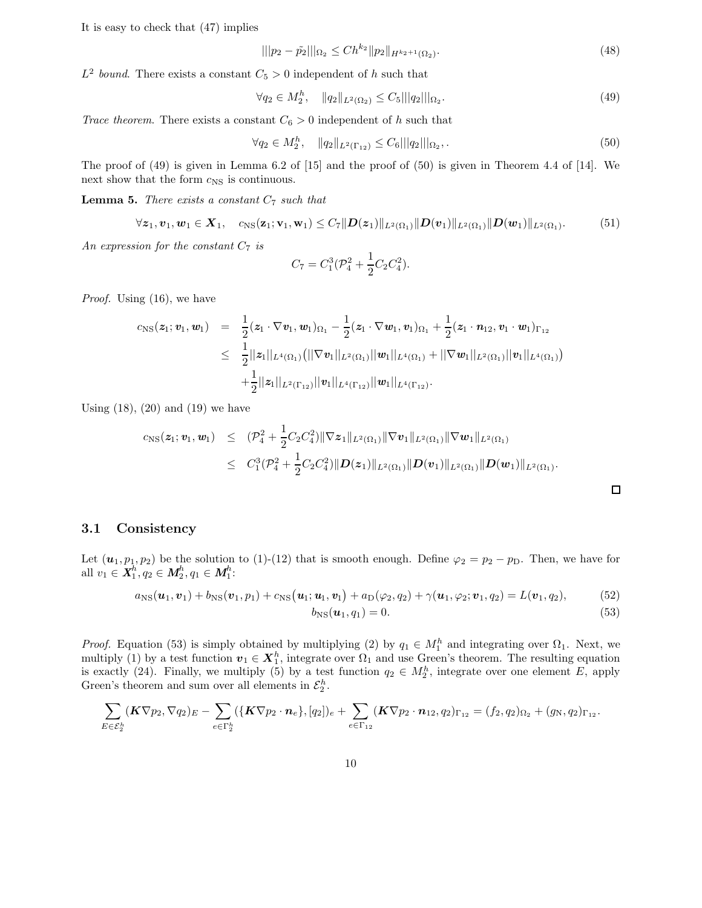It is easy to check that (47) implies

$$
\| |p_2 - \tilde{p}_2| \|_{\Omega_2} \le C h^{k_2} \| p_2 \|_{H^{k_2 + 1}(\Omega_2)}.
$$
\n(48)

 $L^2$  bound. There exists a constant  $C_5 > 0$  independent of h such that

$$
\forall q_2 \in M_2^h, \quad ||q_2||_{L^2(\Omega_2)} \le C_5 |||q_2||_{\Omega_2}.
$$
\n(49)

Trace theorem. There exists a constant  $C_6 > 0$  independent of h such that

$$
\forall q_2 \in M_2^h, \quad ||q_2||_{L^2(\Gamma_{12})} \le C_6 ||q_2||_{\Omega_2},\tag{50}
$$

The proof of (49) is given in Lemma 6.2 of [15] and the proof of (50) is given in Theorem 4.4 of [14]. We next show that the form  $c_{\rm NS}$  is continuous.

**Lemma 5.** There exists a constant  $C_7$  such that

$$
\forall z_1, v_1, w_1 \in X_1, \quad c_{\text{NS}}(z_1; v_1, w_1) \leq C_7 \|D(z_1)\|_{L^2(\Omega_1)} \|D(v_1)\|_{L^2(\Omega_1)} \|D(w_1)\|_{L^2(\Omega_1)}.
$$
 (51)

An expression for the constant  $C_7$  is

$$
C_7 = C_1^3(\mathcal{P}_4^2 + \frac{1}{2}C_2C_4^2).
$$

Proof. Using (16), we have

$$
c_{\rm NS}(z_1; \mathbf{v}_1, \mathbf{w}_1) = \frac{1}{2} (z_1 \cdot \nabla \mathbf{v}_1, \mathbf{w}_1)_{\Omega_1} - \frac{1}{2} (z_1 \cdot \nabla \mathbf{w}_1, \mathbf{v}_1)_{\Omega_1} + \frac{1}{2} (z_1 \cdot \mathbf{n}_{12}, \mathbf{v}_1 \cdot \mathbf{w}_1)_{\Gamma_{12}} \leq \frac{1}{2} ||z_1||_{L^4(\Omega_1)} (||\nabla \mathbf{v}_1||_{L^2(\Omega_1)} ||\mathbf{w}_1||_{L^4(\Omega_1)} + ||\nabla \mathbf{w}_1||_{L^2(\Omega_1)} ||\mathbf{v}_1||_{L^4(\Omega_1)}) + \frac{1}{2} ||z_1||_{L^2(\Gamma_{12})} ||\mathbf{v}_1||_{L^4(\Gamma_{12})} ||\mathbf{w}_1||_{L^4(\Gamma_{12})}.
$$

Using  $(18)$ ,  $(20)$  and  $(19)$  we have

$$
c_{\rm NS}(z_1; v_1, w_1) \leq (\mathcal{P}_4^2 + \frac{1}{2} C_2 C_4^2) \|\nabla z_1\|_{L^2(\Omega_1)} \|\nabla v_1\|_{L^2(\Omega_1)} \|\nabla w_1\|_{L^2(\Omega_1)}
$$
  

$$
\leq C_1^3(\mathcal{P}_4^2 + \frac{1}{2} C_2 C_4^2) \|D(z_1)\|_{L^2(\Omega_1)} \|D(v_1)\|_{L^2(\Omega_1)} \|D(w_1)\|_{L^2(\Omega_1)}.
$$

3.1 Consistency

Let  $(u_1, p_1, p_2)$  be the solution to (1)-(12) that is smooth enough. Define  $\varphi_2 = p_2 - p_D$ . Then, we have for all  $v_1 \in X_1^h, q_2 \in M_2^h, q_1 \in M_1^h$ :

$$
a_{\rm NS}(u_1, v_1) + b_{\rm NS}(v_1, p_1) + c_{\rm NS}(u_1; u_1, v_1) + a_{\rm D}(\varphi_2, q_2) + \gamma(u_1, \varphi_2; v_1, q_2) = L(v_1, q_2), \qquad (52)
$$

$$
b_{\rm NS}(\boldsymbol{u}_1, q_1) = 0. \tag{53}
$$

 $\Box$ 

*Proof.* Equation (53) is simply obtained by multiplying (2) by  $q_1 \in M_1^h$  and integrating over  $\Omega_1$ . Next, we multiply (1) by a test function  $v_1 \in X_1^h$ , integrate over  $\Omega_1$  and use Green's theorem. The resulting equation is exactly (24). Finally, we multiply (5) by a test function  $q_2 \in M_2^h$ , integrate over one element E, apply Green's theorem and sum over all elements in  $\mathcal{E}_2^h$ .

$$
\sum_{E \in \mathcal{E}_2^h} (\mathbf{K} \nabla p_2, \nabla q_2)_E - \sum_{e \in \Gamma_2^h} (\{\mathbf{K} \nabla p_2 \cdot \boldsymbol{n}_e\}, [q_2])_e + \sum_{e \in \Gamma_{12}} (\mathbf{K} \nabla p_2 \cdot \boldsymbol{n}_{12}, q_2)_{\Gamma_{12}} = (f_2, q_2)_{\Omega_2} + (g_N, q_2)_{\Gamma_{12}}.
$$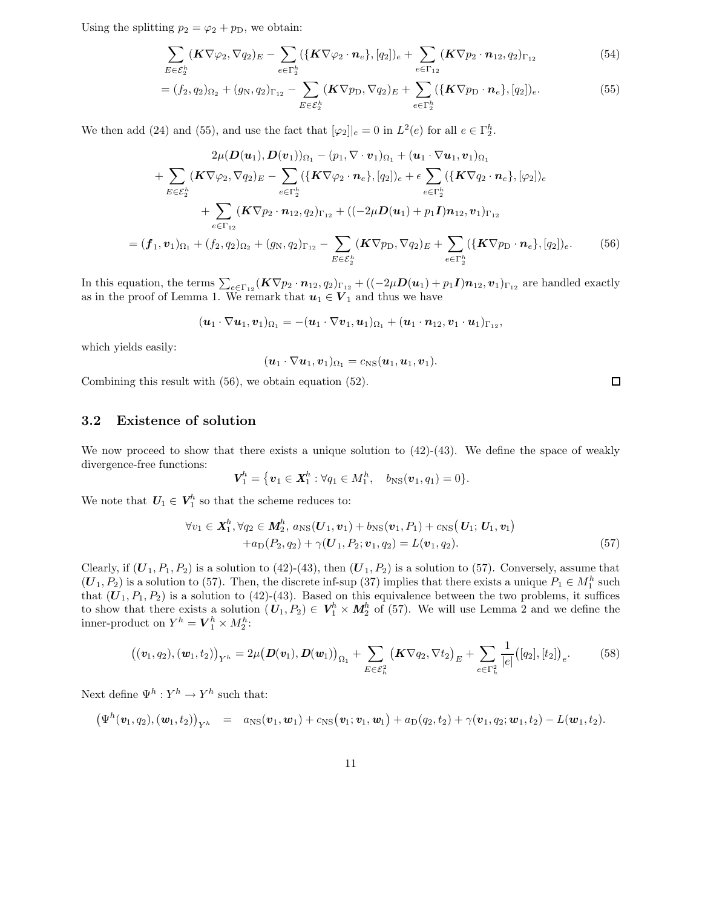Using the splitting  $p_2 = \varphi_2 + p_D$ , we obtain:

$$
\sum_{E \in \mathcal{E}_2^h} (\mathbf{K} \nabla \varphi_2, \nabla q_2)_E - \sum_{e \in \Gamma_2^h} (\{\mathbf{K} \nabla \varphi_2 \cdot \mathbf{n}_e\}, [q_2])_e + \sum_{e \in \Gamma_{12}} (\mathbf{K} \nabla p_2 \cdot \mathbf{n}_{12}, q_2)_{\Gamma_{12}} \tag{54}
$$

$$
= (f_2, q_2)_{\Omega_2} + (g_N, q_2)_{\Gamma_{12}} - \sum_{E \in \mathcal{E}_2^h} (\mathbf{K} \nabla p_D, \nabla q_2)_E + \sum_{e \in \Gamma_2^h} (\{\mathbf{K} \nabla p_D \cdot \mathbf{n}_e\}, [q_2])_e.
$$
 (55)

We then add (24) and (55), and use the fact that  $[\varphi_2]|_e = 0$  in  $L^2(e)$  for all  $e \in \Gamma_2^h$ .

$$
2\mu(\mathbf{D}(\mathbf{u}_{1}), \mathbf{D}(\mathbf{v}_{1}))_{\Omega_{1}} - (p_{1}, \nabla \cdot \mathbf{v}_{1})_{\Omega_{1}} + (\mathbf{u}_{1} \cdot \nabla \mathbf{u}_{1}, \mathbf{v}_{1})_{\Omega_{1}} + \sum_{E \in \mathcal{E}_{2}^{h}} (\mathbf{K} \nabla \varphi_{2}, \nabla q_{2})_{E} - \sum_{e \in \Gamma_{2}^{h}} (\{\mathbf{K} \nabla \varphi_{2} \cdot \mathbf{n}_{e}\}, [q_{2}])_{e} + \epsilon \sum_{e \in \Gamma_{2}^{h}} (\{\mathbf{K} \nabla q_{2} \cdot \mathbf{n}_{e}\}, [\varphi_{2}])_{e} + \sum_{e \in \Gamma_{12}} (\mathbf{K} \nabla p_{2} \cdot \mathbf{n}_{12}, q_{2})_{\Gamma_{12}} + ((-2\mu \mathbf{D}(\mathbf{u}_{1}) + p_{1} \mathbf{I}) \mathbf{n}_{12}, \mathbf{v}_{1})_{\Gamma_{12}} = (\mathbf{f}_{1}, \mathbf{v}_{1})_{\Omega_{1}} + (\mathbf{f}_{2}, q_{2})_{\Omega_{2}} + (g_{N}, q_{2})_{\Gamma_{12}} - \sum_{E \in \mathcal{E}_{2}^{h}} (\mathbf{K} \nabla p_{D}, \nabla q_{2})_{E} + \sum_{e \in \Gamma_{2}^{h}} (\{\mathbf{K} \nabla p_{D} \cdot \mathbf{n}_{e}\}, [q_{2}])_{e}.
$$
 (56)

In this equation, the terms  $\sum_{e \in \Gamma_{12}} (\mathbf{K} \nabla p_2 \cdot \boldsymbol{n}_{12}, q_2)_{\Gamma_{12}} + ((-2\mu \mathbf{D}(\boldsymbol{u}_1) + p_1 \mathbf{I}) \boldsymbol{n}_{12}, \boldsymbol{v}_1)_{\Gamma_{12}}$  are handled exactly as in the proof of Lemma 1. We remark that  $u_1 \in V_1$  and thus we have

$$
(\boldsymbol{u}_1\cdot\nabla \boldsymbol{u}_1,\boldsymbol{v}_1)_{\Omega_1}=-(\boldsymbol{u}_1\cdot\nabla \boldsymbol{v}_1,\boldsymbol{u}_1)_{\Omega_1}+(\boldsymbol{u}_1\cdot\boldsymbol{n}_{12},\boldsymbol{v}_1\cdot\boldsymbol{u}_1)_{\Gamma_{12}},
$$

which yields easily:

$$
(\boldsymbol{u}_1\cdot\nabla\boldsymbol{u}_1,\boldsymbol{v}_1)_{\Omega_1}=c_{\text{NS}}(\boldsymbol{u}_1,\boldsymbol{u}_1,\boldsymbol{v}_1).
$$

Combining this result with (56), we obtain equation (52).

#### 3.2 Existence of solution

We now proceed to show that there exists a unique solution to  $(42)-(43)$ . We define the space of weakly divergence-free functions:

$$
\bm{V}_1^h = \{ \bm{v}_1 \in \bm{X}_1^h : \forall q_1 \in M_1^h, \quad b_{\rm NS}(\bm{v}_1, q_1) = 0 \}.
$$

We note that  $U_1 \in V_1^h$  so that the scheme reduces to:

$$
\forall v_1 \in \mathbf{X}_1^h, \forall q_2 \in \mathbf{M}_2^h, a_{\text{NS}}(\mathbf{U}_1, \mathbf{v}_1) + b_{\text{NS}}(\mathbf{v}_1, P_1) + c_{\text{NS}}(\mathbf{U}_1; \mathbf{U}_1, \mathbf{v}_1) + a_{\text{D}}(P_2, q_2) + \gamma(\mathbf{U}_1, P_2; \mathbf{v}_1, q_2) = L(\mathbf{v}_1, q_2).
$$
\n(57)

Clearly, if  $(U_1, P_1, P_2)$  is a solution to  $(42)-(43)$ , then  $(U_1, P_2)$  is a solution to  $(57)$ . Conversely, assume that  $(U_1, P_2)$  is a solution to (57). Then, the discrete inf-sup (37) implies that there exists a unique  $P_1 \in M_1^h$  such that  $(U_1, P_1, P_2)$  is a solution to (42)-(43). Based on this equivalence between the two problems, it suffices to show that there exists a solution  $(U_1, P_2) \in V_1^h \times M_2^h$  of (57). We will use Lemma 2 and we define the inner-product on  $Y^h = V_1^h \times M_2^h$ :

$$
((\boldsymbol{v}_1,q_2),(\boldsymbol{w}_1,t_2))_{Y^h} = 2\mu(\boldsymbol{D}(\boldsymbol{v}_1),\boldsymbol{D}(\boldsymbol{w}_1))_{\Omega_1} + \sum_{E \in \mathcal{E}_h^2} (\boldsymbol{K} \nabla q_2, \nabla t_2)_E + \sum_{e \in \Gamma_h^2} \frac{1}{|e|} ([q_2], [t_2])_e.
$$
 (58)

Next define  $\Psi^h: Y^h \to Y^h$  such that:

$$
(\Psi^h(\boldsymbol{v}_1,q_2),(\boldsymbol{w}_1,t_2))_{Y^h} = a_{\text{NS}}(\boldsymbol{v}_1,\boldsymbol{w}_1) + c_{\text{NS}}(\boldsymbol{v}_1;\boldsymbol{v}_1,\boldsymbol{w}_1) + a_{\text{D}}(q_2,t_2) + \gamma(\boldsymbol{v}_1,q_2;\boldsymbol{w}_1,t_2) - L(\boldsymbol{w}_1,t_2).
$$

 $\Box$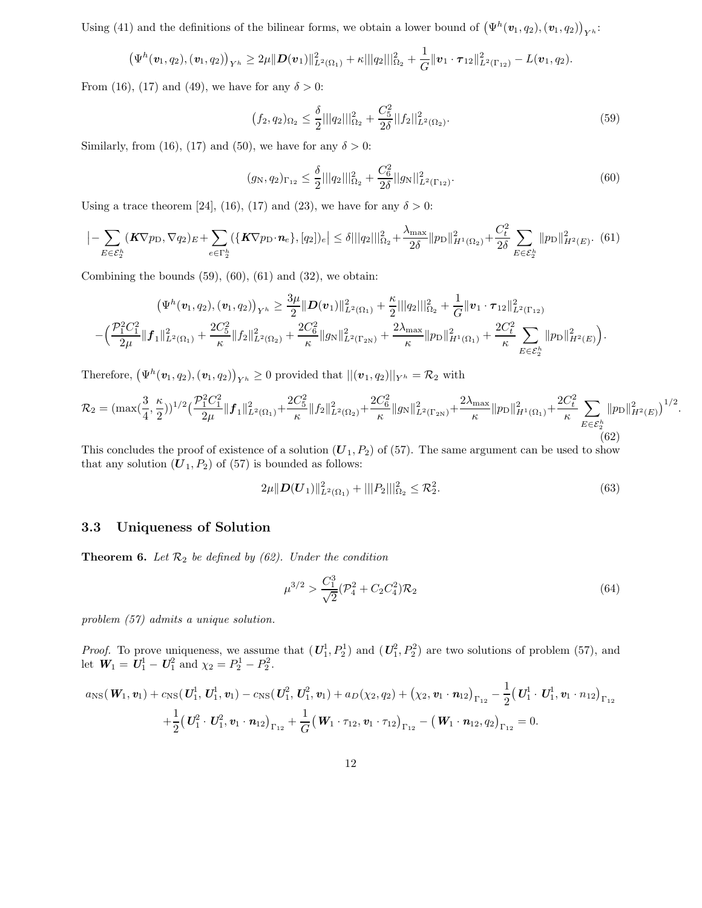Using (41) and the definitions of the bilinear forms, we obtain a lower bound of  $(\Psi^h(\mathbf{v}_1, q_2), (\mathbf{v}_1, q_2))_{Y^h}$ :

$$
\left(\Psi^h(\mathbf{v}_1,q_2),(\mathbf{v}_1,q_2)\right)_{Y^h} \geq 2\mu \|D(\mathbf{v}_1)\|_{L^2(\Omega_1)}^2 + \kappa \|\|q_2\|\|_{\Omega_2}^2 + \frac{1}{G} \|\mathbf{v}_1 \cdot \boldsymbol{\tau}_{12}\|_{L^2(\Gamma_{12})}^2 - L(\mathbf{v}_1,q_2).
$$

From (16), (17) and (49), we have for any  $\delta > 0$ :

$$
(f_2, q_2)_{\Omega_2} \le \frac{\delta}{2} ||q_2||_{\Omega_2}^2 + \frac{C_5^2}{2\delta} ||f_2||_{L^2(\Omega_2)}^2.
$$
\n(59)

Similarly, from (16), (17) and (50), we have for any  $\delta > 0$ :

$$
(g_N, q_2)_{\Gamma_{12}} \le \frac{\delta}{2} |||q_2|||_{\Omega_2}^2 + \frac{C_6^2}{2\delta} ||g_N||_{L^2(\Gamma_{12})}^2. \tag{60}
$$

Using a trace theorem [24], (16), (17) and (23), we have for any  $\delta > 0$ :

$$
\left|-\sum_{E\in\mathcal{E}_2^h}(\mathbf{K}\nabla p_{\rm D}, \nabla q_2)_{E}+\sum_{e\in\Gamma_2^h}(\{\mathbf{K}\nabla p_{\rm D}\cdot\mathbf{n}_e\}, [q_2])_e\right|\leq \delta|||q_2|||_{\Omega_2}^2+\frac{\lambda_{\max}}{2\delta}||p_{\rm D}||_{H^1(\Omega_2)}^2+\frac{C_t^2}{2\delta}\sum_{E\in\mathcal{E}_2^h}||p_{\rm D}||_{H^2(E)}^2. (61)
$$

Combining the bounds  $(59)$ ,  $(60)$ ,  $(61)$  and  $(32)$ , we obtain:

$$
\left(\Psi^h(v_1, q_2), (v_1, q_2)\right)_{Y^h} \geq \frac{3\mu}{2} \|D(v_1)\|_{L^2(\Omega_1)}^2 + \frac{\kappa}{2} \|\|q_2\|\|_{\Omega_2}^2 + \frac{1}{G} \|v_1 \cdot \tau_{12}\|_{L^2(\Gamma_{12})}^2
$$

$$
-\left(\frac{\mathcal{P}_1^2 C_1^2}{2\mu} \|f_1\|_{L^2(\Omega_1)}^2 + \frac{2C_5^2}{\kappa} \|f_2\|_{L^2(\Omega_2)}^2 + \frac{2C_6^2}{\kappa} \|g_N\|_{L^2(\Gamma_{2N})}^2 + \frac{2\lambda_{\max}}{\kappa} \|p_D\|_{H^1(\Omega_1)}^2 + \frac{2C_t^2}{\kappa} \sum_{E \in \mathcal{E}_2^h} \|p_D\|_{H^2(E)}^2\right).
$$

Therefore,  $(\Psi^h(\boldsymbol{v}_1, q_2), (\boldsymbol{v}_1, q_2))_{Y^h} \ge 0$  provided that  $||(\boldsymbol{v}_1, q_2)||_{Y^h} = \mathcal{R}_2$  with

$$
\mathcal{R}_2 = (\max(\frac{3}{4}, \frac{\kappa}{2}))^{1/2} \left(\frac{\mathcal{P}_1^2 C_1^2}{2\mu} \|\mathbf{f}_1\|_{L^2(\Omega_1)}^2 + \frac{2C_5^2}{\kappa} \|f_2\|_{L^2(\Omega_2)}^2 + \frac{2C_6^2}{\kappa} \|g_N\|_{L^2(\Gamma_{2N})}^2 + \frac{2\lambda_{\max}}{\kappa} \|p_D\|_{H^1(\Omega_1)}^2 + \frac{2C_t^2}{\kappa} \sum_{E \in \mathcal{E}_2^h} \|p_D\|_{H^2(E)}^2\right)^{1/2}
$$
\n
$$
(62)
$$

This concludes the proof of existence of a solution  $(U_1, P_2)$  of (57). The same argument can be used to show that any solution  $(U_1, P_2)$  of  $(57)$  is bounded as follows:

$$
2\mu \|D(U_1)\|_{L^2(\Omega_1)}^2 + |||P_2|||_{\Omega_2}^2 \leq \mathcal{R}_2^2. \tag{63}
$$

.

#### 3.3 Uniqueness of Solution

**Theorem 6.** Let  $\mathcal{R}_2$  be defined by (62). Under the condition

$$
\mu^{3/2} > \frac{C_1^3}{\sqrt{2}} (\mathcal{P}_4^2 + C_2 C_4^2) \mathcal{R}_2 \tag{64}
$$

problem (57) admits a unique solution.

*Proof.* To prove uniqueness, we assume that  $(U_1^1, P_2^1)$  and  $(U_1^2, P_2^2)$  are two solutions of problem (57), and let  $W_1 = U_1^1 - U_1^2$  and  $\chi_2 = P_2^1 - P_2^2$ .

$$
a_{\rm NS}(\mathbf{W}_1, \mathbf{v}_1) + c_{\rm NS}(\mathbf{U}_1^1, \mathbf{U}_1^1, \mathbf{v}_1) - c_{\rm NS}(\mathbf{U}_1^2, \mathbf{U}_1^2, \mathbf{v}_1) + a_D(\chi_2, q_2) + (\chi_2, \mathbf{v}_1 \cdot \mathbf{n}_{12})_{\Gamma_{12}} - \frac{1}{2} (\mathbf{U}_1^1 \cdot \mathbf{U}_1^1, \mathbf{v}_1 \cdot n_{12})_{\Gamma_{12}} + \frac{1}{2} (\mathbf{U}_1^2 \cdot \mathbf{U}_1^2, \mathbf{v}_1 \cdot \mathbf{n}_{12})_{\Gamma_{12}} + \frac{1}{G} (\mathbf{W}_1 \cdot \tau_{12}, \mathbf{v}_1 \cdot \tau_{12})_{\Gamma_{12}} - (\mathbf{W}_1 \cdot \mathbf{n}_{12}, q_2)_{\Gamma_{12}} = 0.
$$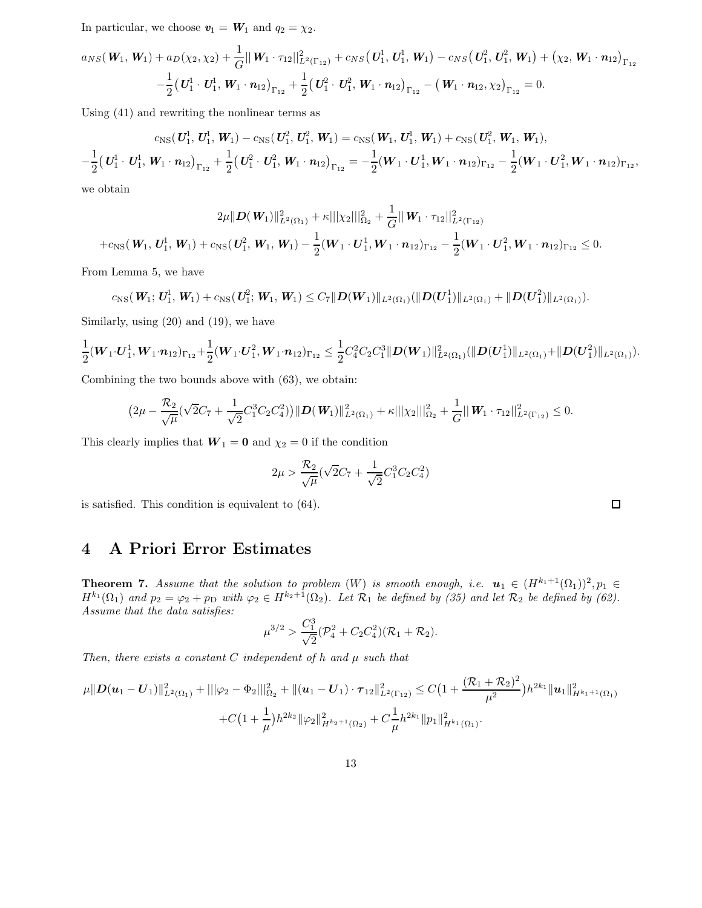In particular, we choose  $v_1 = W_1$  and  $q_2 = \chi_2$ .

$$
a_{NS}(\mathbf{W}_1, \mathbf{W}_1) + a_D(\chi_2, \chi_2) + \frac{1}{G} ||\mathbf{W}_1 \cdot \tau_{12}||_{L^2(\Gamma_{12})}^2 + c_{NS}(\mathbf{U}_1^1, \mathbf{U}_1^1, \mathbf{W}_1) - c_{NS}(\mathbf{U}_1^2, \mathbf{U}_1^2, \mathbf{W}_1) + (\chi_2, \mathbf{W}_1 \cdot \mathbf{n}_{12})_{\Gamma_{12}} - \frac{1}{2}(\mathbf{U}_1^1 \cdot \mathbf{U}_1^1, \mathbf{W}_1 \cdot \mathbf{n}_{12})_{\Gamma_{12}} + \frac{1}{2}(\mathbf{U}_1^2 \cdot \mathbf{U}_1^2, \mathbf{W}_1 \cdot \mathbf{n}_{12})_{\Gamma_{12}} - (\mathbf{W}_1 \cdot \mathbf{n}_{12}, \chi_2)_{\Gamma_{12}} = 0.
$$

Using (41) and rewriting the nonlinear terms as

$$
c_{\rm NS}(U_1^1, U_1^1, W_1) - c_{\rm NS}(U_1^2, U_1^2, W_1) = c_{\rm NS}(W_1, U_1^1, W_1) + c_{\rm NS}(U_1^2, W_1, W_1),
$$
  

$$
-\frac{1}{2}(U_1^1 \cdot U_1^1, W_1 \cdot n_{12})_{\Gamma_{12}} + \frac{1}{2}(U_1^2 \cdot U_1^2, W_1 \cdot n_{12})_{\Gamma_{12}} = -\frac{1}{2}(W_1 \cdot U_1^1, W_1 \cdot n_{12})_{\Gamma_{12}} - \frac{1}{2}(W_1 \cdot U_1^2, W_1 \cdot n_{12})_{\Gamma_{12}},
$$

we obtain

$$
2\mu \|D(\mathbf{W}_1)\|_{L^2(\Omega_1)}^2 + \kappa \|\chi_2\|\|_{\Omega_2}^2 + \frac{1}{G} \|\mathbf{W}_1 \cdot \tau_{12}\|_{L^2(\Gamma_{12})}^2
$$
  
+ $c_{\text{NS}}(\mathbf{W}_1, \mathbf{U}_1^1, \mathbf{W}_1) + c_{\text{NS}}(\mathbf{U}_1^2, \mathbf{W}_1, \mathbf{W}_1) - \frac{1}{2}(\mathbf{W}_1 \cdot \mathbf{U}_1^1, \mathbf{W}_1 \cdot \mathbf{n}_{12})_{\Gamma_{12}} - \frac{1}{2}(\mathbf{W}_1 \cdot \mathbf{U}_1^2, \mathbf{W}_1 \cdot \mathbf{n}_{12})_{\Gamma_{12}} \leq 0.$ 

From Lemma 5, we have

$$
c_{\rm NS}(\textbf{\textit{W}}_1; \textbf{\textit{U}}_1^1,\textbf{\textit{W}}_1) + c_{\rm NS}(\textbf{\textit{U}}_1^2;\textbf{\textit{W}}_1,\textbf{\textit{W}}_1) \leq C_7 \|\textbf{\textit{D}}(\textbf{\textit{W}}_1)\|_{L^2(\Omega_1)} (\|\textbf{\textit{D}}(\textbf{\textit{U}}_1^1)\|_{L^2(\Omega_1)} + \|\textbf{\textit{D}}(\textbf{\textit{U}}_1^2)\|_{L^2(\Omega_1)}).
$$

Similarly, using (20) and (19), we have

$$
\frac{1}{2}(\boldsymbol{W}_{1}\cdot\boldsymbol{U}_{1}^{1},\boldsymbol{W}_{1}\cdot\boldsymbol{n}_{12})_{\Gamma_{12}}+\frac{1}{2}(\boldsymbol{W}_{1}\cdot\boldsymbol{U}_{1}^{2},\boldsymbol{W}_{1}\cdot\boldsymbol{n}_{12})_{\Gamma_{12}}\leq \frac{1}{2}C_{4}^{2}C_{2}C_{1}^{3}\|\boldsymbol{D}(\boldsymbol{W}_{1})\|_{L^{2}(\Omega_{1})}^{2}(\|\boldsymbol{D}(\boldsymbol{U}_{1}^{1})\|_{L^{2}(\Omega_{1})}+\|\boldsymbol{D}(\boldsymbol{U}_{1}^{2})\|_{L^{2}(\Omega_{1})}).
$$

Combining the two bounds above with (63), we obtain:

$$
(2\mu - \frac{\mathcal{R}_2}{\sqrt{\mu}}(\sqrt{2}C_7 + \frac{1}{\sqrt{2}}C_1^3C_2C_4^2))\|\mathbf{D}(\mathbf{W}_1)\|_{L^2(\Omega_1)}^2 + \kappa \|\chi_2\|\|_{\Omega_2}^2 + \frac{1}{G}\|\mathbf{W}_1 \cdot \tau_{12}\|_{L^2(\Gamma_{12})}^2 \leq 0.
$$

This clearly implies that  $W_1 = 0$  and  $\chi_2 = 0$  if the condition

$$
2\mu > \frac{\mathcal{R}_2}{\sqrt{\mu}} (\sqrt{2}C_7 + \frac{1}{\sqrt{2}} C_1^3 C_2 C_4^2)
$$

is satisfied. This condition is equivalent to (64).

### 4 A Priori Error Estimates

**Theorem 7.** Assume that the solution to problem  $(W)$  is smooth enough, i.e.  $u_1 \in (H^{k_1+1}(\Omega_1))^2, p_1 \in$  $H^{k_1}(\Omega_1)$  and  $p_2 = \varphi_2 + p_D$  with  $\varphi_2 \in H^{k_2+1}(\Omega_2)$ . Let  $\mathcal{R}_1$  be defined by (35) and let  $\mathcal{R}_2$  be defined by (62). Assume that the data satisfies:

$$
\mu^{3/2} > \frac{C_1^3}{\sqrt{2}} (\mathcal{P}_4^2 + C_2 C_4^2)(\mathcal{R}_1 + \mathcal{R}_2).
$$

Then, there exists a constant  $C$  independent of h and  $\mu$  such that

$$
\mu \|D(\boldsymbol{u}_1 - \boldsymbol{U}_1)\|_{L^2(\Omega_1)}^2 + ||\varphi_2 - \Phi_2||_{\Omega_2}^2 + ||(\boldsymbol{u}_1 - \boldsymbol{U}_1) \cdot \boldsymbol{\tau}_{12}||_{L^2(\Gamma_{12})}^2 \leq C\big(1 + \frac{(\mathcal{R}_1 + \mathcal{R}_2)^2}{\mu^2}\big)h^{2k_1} \|\boldsymbol{u}_1\|_{H^{k_1+1}(\Omega_1)}^2 + C\big(1 + \frac{1}{\mu}\big)h^{2k_2} \|\varphi_2\|_{H^{k_2+1}(\Omega_2)}^2 + C\frac{1}{\mu}h^{2k_1} \|p_1\|_{H^{k_1}(\Omega_1)}^2.
$$

 $\Box$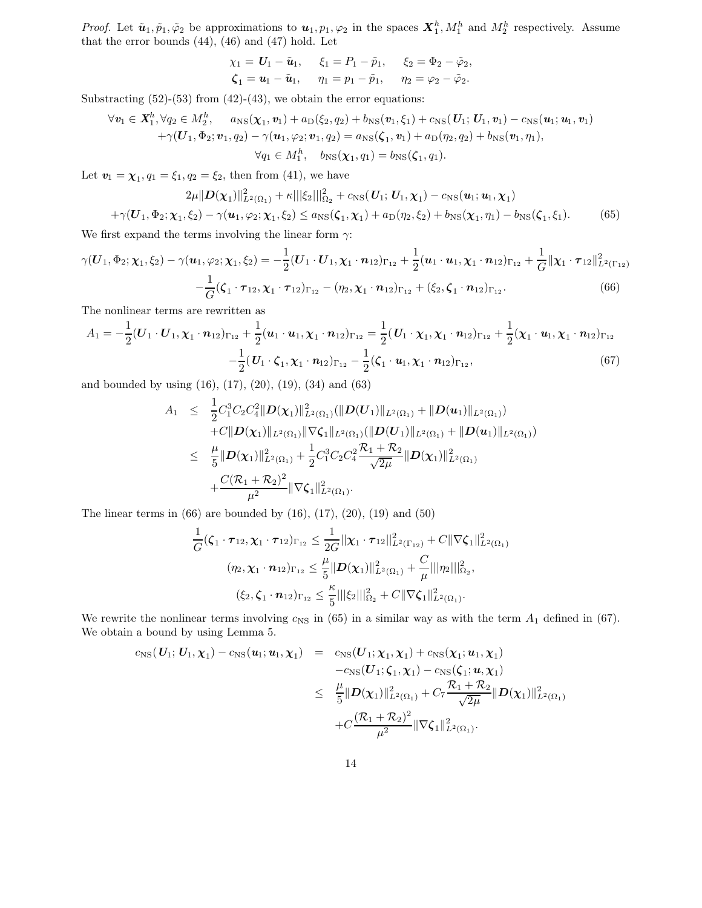*Proof.* Let  $\tilde{\mathbf{u}}_1, \tilde{p}_1, \tilde{\varphi}_2$  be approximations to  $\mathbf{u}_1, p_1, \varphi_2$  in the spaces  $\mathbf{X}_1^h, M_1^h$  and  $M_2^h$  respectively. Assume that the error bounds  $(44)$ ,  $(46)$  and  $(47)$  hold. Let

$$
\chi_1 = U_1 - \tilde{u}_1, \quad \xi_1 = P_1 - \tilde{p}_1, \quad \xi_2 = \Phi_2 - \tilde{\varphi}_2,
$$
  
\n $\zeta_1 = u_1 - \tilde{u}_1, \quad \eta_1 = p_1 - \tilde{p}_1, \quad \eta_2 = \varphi_2 - \tilde{\varphi}_2.$ 

Substracting  $(52)-(53)$  from  $(42)-(43)$ , we obtain the error equations:

$$
\forall \mathbf{v}_1 \in \mathbf{X}_1^h, \forall q_2 \in M_2^h, \quad a_{\text{NS}}(\mathbf{\chi}_1, \mathbf{v}_1) + a_{\text{D}}(\xi_2, q_2) + b_{\text{NS}}(\mathbf{v}_1, \xi_1) + c_{\text{NS}}(\mathbf{U}_1; \mathbf{U}_1, \mathbf{v}_1) - c_{\text{NS}}(\mathbf{u}_1; \mathbf{u}_1, \mathbf{v}_1) + \gamma(\mathbf{U}_1, \Phi_2; \mathbf{v}_1, q_2) - \gamma(\mathbf{u}_1, \varphi_2; \mathbf{v}_1, q_2) = a_{\text{NS}}(\boldsymbol{\zeta}_1, \mathbf{v}_1) + a_{\text{D}}(\eta_2, q_2) + b_{\text{NS}}(\mathbf{v}_1, \eta_1), \forall q_1 \in M_1^h, \quad b_{\text{NS}}(\mathbf{\chi}_1, q_1) = b_{\text{NS}}(\boldsymbol{\zeta}_1, q_1).
$$

Let  $\mathbf{v}_1 = \chi_1, q_1 = \xi_1, q_2 = \xi_2$ , then from (41), we have

$$
2\mu \|D(\chi_1)\|_{L^2(\Omega_1)}^2 + \kappa \|\xi_2\|_{\Omega_2}^2 + c_{\text{NS}}(U_1; U_1, \chi_1) - c_{\text{NS}}(u_1; u_1, \chi_1)
$$
  
+ $\gamma (U_1, \Phi_2; \chi_1, \xi_2) - \gamma (u_1, \varphi_2; \chi_1, \xi_2) \le a_{\text{NS}}(\zeta_1, \chi_1) + a_{\text{D}}(\eta_2, \xi_2) + b_{\text{NS}}(\chi_1, \eta_1) - b_{\text{NS}}(\zeta_1, \xi_1).$  (65)

We first expand the terms involving the linear form  $\gamma$ :

$$
\gamma(\boldsymbol{U}_{1},\Phi_{2};\boldsymbol{\chi}_{1},\xi_{2})-\gamma(\boldsymbol{u}_{1},\varphi_{2};\boldsymbol{\chi}_{1},\xi_{2})=-\frac{1}{2}(\boldsymbol{U}_{1}\cdot\boldsymbol{U}_{1},\boldsymbol{\chi}_{1}\cdot\boldsymbol{n}_{12})_{\Gamma_{12}}+\frac{1}{2}(\boldsymbol{u}_{1}\cdot\boldsymbol{u}_{1},\boldsymbol{\chi}_{1}\cdot\boldsymbol{n}_{12})_{\Gamma_{12}}+\frac{1}{G}\|\boldsymbol{\chi}_{1}\cdot\boldsymbol{\tau}_{12}\|_{L^{2}(\Gamma_{12})}^{2} -\frac{1}{G}(\boldsymbol{\zeta}_{1}\cdot\boldsymbol{\tau}_{12},\boldsymbol{\chi}_{1}\cdot\boldsymbol{\tau}_{12})_{\Gamma_{12}}-(\eta_{2},\boldsymbol{\chi}_{1}\cdot\boldsymbol{n}_{12})_{\Gamma_{12}}+(\xi_{2},\boldsymbol{\zeta}_{1}\cdot\boldsymbol{n}_{12})_{\Gamma_{12}}.\tag{66}
$$

The nonlinear terms are rewritten as

$$
A_1 = -\frac{1}{2}(\boldsymbol{U}_1 \cdot \boldsymbol{U}_1, \boldsymbol{\chi}_1 \cdot \boldsymbol{n}_{12})_{\Gamma_{12}} + \frac{1}{2}(\boldsymbol{u}_1 \cdot \boldsymbol{u}_1, \boldsymbol{\chi}_1 \cdot \boldsymbol{n}_{12})_{\Gamma_{12}} = \frac{1}{2}(\boldsymbol{U}_1 \cdot \boldsymbol{\chi}_1, \boldsymbol{\chi}_1 \cdot \boldsymbol{n}_{12})_{\Gamma_{12}} + \frac{1}{2}(\boldsymbol{\chi}_1 \cdot \boldsymbol{u}_1, \boldsymbol{\chi}_1 \cdot \boldsymbol{n}_{12})_{\Gamma_{12}} - \frac{1}{2}(\boldsymbol{U}_1 \cdot \boldsymbol{\zeta}_1, \boldsymbol{\chi}_1 \cdot \boldsymbol{n}_{12})_{\Gamma_{12}},
$$
\n(67)

and bounded by using (16), (17), (20), (19), (34) and (63)

$$
A_1 \leq \frac{1}{2} C_1^3 C_2 C_4^2 \|D(\chi_1)\|_{L^2(\Omega_1)}^2 (\|D(U_1)\|_{L^2(\Omega_1)} + \|D(u_1)\|_{L^2(\Omega_1)})
$$
  
+
$$
C \|D(\chi_1)\|_{L^2(\Omega_1)} \|\nabla \zeta_1\|_{L^2(\Omega_1)} (\|D(U_1)\|_{L^2(\Omega_1)} + \|D(u_1)\|_{L^2(\Omega_1)})
$$
  

$$
\leq \frac{\mu}{5} \|D(\chi_1)\|_{L^2(\Omega_1)}^2 + \frac{1}{2} C_1^3 C_2 C_4^2 \frac{\mathcal{R}_1 + \mathcal{R}_2}{\sqrt{2\mu}} \|D(\chi_1)\|_{L^2(\Omega_1)}^2
$$
  
+
$$
\frac{C(\mathcal{R}_1 + \mathcal{R}_2)^2}{\mu^2} \|\nabla \zeta_1\|_{L^2(\Omega_1)}^2.
$$

The linear terms in  $(66)$  are bounded by  $(16)$ ,  $(17)$ ,  $(20)$ ,  $(19)$  and  $(50)$ 

$$
\frac{1}{G}(\zeta_1 \cdot \tau_{12}, \chi_1 \cdot \tau_{12})_{\Gamma_{12}} \leq \frac{1}{2G} ||\chi_1 \cdot \tau_{12}||_{L^2(\Gamma_{12})}^2 + C ||\nabla \zeta_1||_{L^2(\Omega_1)}^2
$$

$$
(\eta_2, \chi_1 \cdot n_{12})_{\Gamma_{12}} \leq \frac{\mu}{5} ||D(\chi_1)||_{L^2(\Omega_1)}^2 + \frac{C}{\mu} |||\eta_2||_{\Omega_2}^2,
$$

$$
(\xi_2, \zeta_1 \cdot n_{12})_{\Gamma_{12}} \leq \frac{\kappa}{5} |||\xi_2||_{\Omega_2}^2 + C ||\nabla \zeta_1||_{L^2(\Omega_1)}^2.
$$

We rewrite the nonlinear terms involving  $c_{\text{NS}}$  in (65) in a similar way as with the term  $A_1$  defined in (67). We obtain a bound by using Lemma 5.

$$
c_{\rm NS}(U_1; U_1, \chi_1) - c_{\rm NS}(u_1; u_1, \chi_1) = c_{\rm NS}(U_1; \chi_1, \chi_1) + c_{\rm NS}(\chi_1; u_1, \chi_1)
$$
  

$$
-c_{\rm NS}(U_1; \zeta_1, \chi_1) - c_{\rm NS}(\zeta_1; u, \chi_1)
$$
  

$$
\leq \frac{\mu}{5} ||D(\chi_1)||_{L^2(\Omega_1)}^2 + C_7 \frac{\mathcal{R}_1 + \mathcal{R}_2}{\sqrt{2\mu}} ||D(\chi_1)||_{L^2(\Omega_1)}^2
$$
  

$$
+ C \frac{(\mathcal{R}_1 + \mathcal{R}_2)^2}{\mu^2} ||\nabla \zeta_1||_{L^2(\Omega_1)}^2.
$$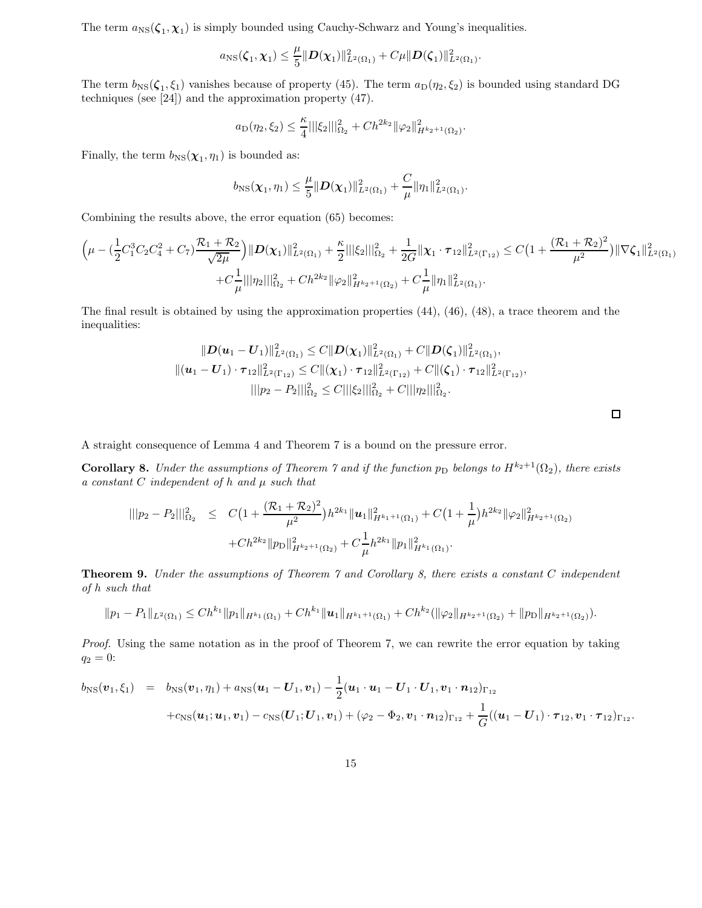The term  $a_{\text{NS}}(\zeta_1, \chi_1)$  is simply bounded using Cauchy-Schwarz and Young's inequalities.

$$
a_{\rm NS}(\zeta_1,\chi_1) \leq \frac{\mu}{5} ||D(\chi_1)||^2_{L^2(\Omega_1)} + C\mu ||D(\zeta_1)||^2_{L^2(\Omega_1)}.
$$

The term  $b_{\rm NS}(\zeta_1,\zeta_1)$  vanishes because of property (45). The term  $a_{\rm D}(\eta_2,\zeta_2)$  is bounded using standard DG techniques (see [24]) and the approximation property (47).

$$
a_{\text{D}}(\eta_2, \xi_2) \leq \frac{\kappa}{4} ||\xi_2||_{\Omega_2}^2 + Ch^{2k_2} ||\varphi_2||_{H^{k_2+1}(\Omega_2)}^2.
$$

Finally, the term  $b_{\text{NS}}(\chi_1, \eta_1)$  is bounded as:

$$
b_{\text{NS}}(\chi_1,\eta_1) \leq \frac{\mu}{5} \|\mathbf{D}(\chi_1)\|_{L^2(\Omega_1)}^2 + \frac{C}{\mu} \|\eta_1\|_{L^2(\Omega_1)}^2.
$$

Combining the results above, the error equation (65) becomes:

$$
\left(\mu - \left(\frac{1}{2}C_1^3C_2C_4^2 + C_7\right)\frac{\mathcal{R}_1 + \mathcal{R}_2}{\sqrt{2\mu}}\right) \|\mathbf{D}(\mathbf{\chi}_1)\|_{L^2(\Omega_1)}^2 + \frac{\kappa}{2} \|\|\xi_2\|\|_{\Omega_2}^2 + \frac{1}{2G} \|\mathbf{\chi}_1 \cdot \boldsymbol{\tau}_{12}\|_{L^2(\Gamma_{12})}^2 \leq C\left(1 + \frac{(\mathcal{R}_1 + \mathcal{R}_2)^2}{\mu^2}\right) \|\nabla \zeta_1\|_{L^2(\Omega_1)}^2 + C\frac{1}{\mu} \|\|\eta_2\|\|_{\Omega_2}^2 + Ch^{2k_2} \|\varphi_2\|_{H^{k_2+1}(\Omega_2)}^2 + C\frac{1}{\mu} \|\eta_1\|_{L^2(\Omega_1)}^2.
$$

The final result is obtained by using the approximation properties (44), (46), (48), a trace theorem and the inequalities:

$$
||D(u_1-U_1)||_{L^2(\Omega_1)}^2 \leq C||D(\chi_1)||_{L^2(\Omega_1)}^2 + C||D(\zeta_1)||_{L^2(\Omega_1)}^2,
$$
  

$$
||(u_1-U_1)\cdot\tau_{12}||_{L^2(\Gamma_{12})}^2 \leq C||(\chi_1)\cdot\tau_{12}||_{L^2(\Gamma_{12})}^2 + C||(\zeta_1)\cdot\tau_{12}||_{L^2(\Gamma_{12})}^2,
$$
  

$$
|||p_2-P_2|||_{\Omega_2}^2 \leq C|||\xi_2|||_{\Omega_2}^2 + C|||\eta_2|||_{\Omega_2}^2.
$$

 $\Box$ 

A straight consequence of Lemma 4 and Theorem 7 is a bound on the pressure error.

**Corollary 8.** Under the assumptions of Theorem 7 and if the function  $p_D$  belongs to  $H^{k_2+1}(\Omega_2)$ , there exists a constant  $C$  independent of  $h$  and  $\mu$  such that

$$
\begin{array}{lcl} |||p_2-P_2|||^2_{\Omega_2} & \leq & C\big(1+\frac{(\mathcal{R}_1+\mathcal{R}_2)^2}{\mu^2}\big)h^{2k_1}\|u_1\|^2_{H^{k_1+1}(\Omega_1)} + C\big(1+\frac{1}{\mu}\big)h^{2k_2}\|\varphi_2\|^2_{H^{k_2+1}(\Omega_2)} \\ & \qquad \qquad + Ch^{2k_2}\|p_D\|^2_{H^{k_2+1}(\Omega_2)} + C\frac{1}{\mu}h^{2k_1}\|p_1\|^2_{H^{k_1}(\Omega_1)}.\end{array}
$$

Theorem 9. Under the assumptions of Theorem 7 and Corollary 8, there exists a constant C independent of h such that

$$
||p_1 - P_1||_{L^2(\Omega_1)} \le Ch^{k_1} ||p_1||_{H^{k_1}(\Omega_1)} + Ch^{k_1} ||u_1||_{H^{k_1+1}(\Omega_1)} + Ch^{k_2} (||\varphi_2||_{H^{k_2+1}(\Omega_2)} + ||p_D||_{H^{k_2+1}(\Omega_2)}).
$$

Proof. Using the same notation as in the proof of Theorem 7, we can rewrite the error equation by taking  $q_2 = 0:$ 

$$
b_{\rm NS}(\boldsymbol{v}_1,\xi_1) = b_{\rm NS}(\boldsymbol{v}_1,\eta_1) + a_{\rm NS}(\boldsymbol{u}_1 - \boldsymbol{U}_1,\boldsymbol{v}_1) - \frac{1}{2}(\boldsymbol{u}_1 \cdot \boldsymbol{u}_1 - \boldsymbol{U}_1 \cdot \boldsymbol{U}_1, \boldsymbol{v}_1 \cdot \boldsymbol{n}_{12})_{\Gamma_{12}} + c_{\rm NS}(\boldsymbol{u}_1;\boldsymbol{u}_1,\boldsymbol{v}_1) - c_{\rm NS}(\boldsymbol{U}_1;\boldsymbol{U}_1,\boldsymbol{v}_1) + (\varphi_2 - \Phi_2, \boldsymbol{v}_1 \cdot \boldsymbol{n}_{12})_{\Gamma_{12}} + \frac{1}{G}((\boldsymbol{u}_1 - \boldsymbol{U}_1) \cdot \boldsymbol{\tau}_{12}, \boldsymbol{v}_1 \cdot \boldsymbol{\tau}_{12})_{\Gamma_{12}}.
$$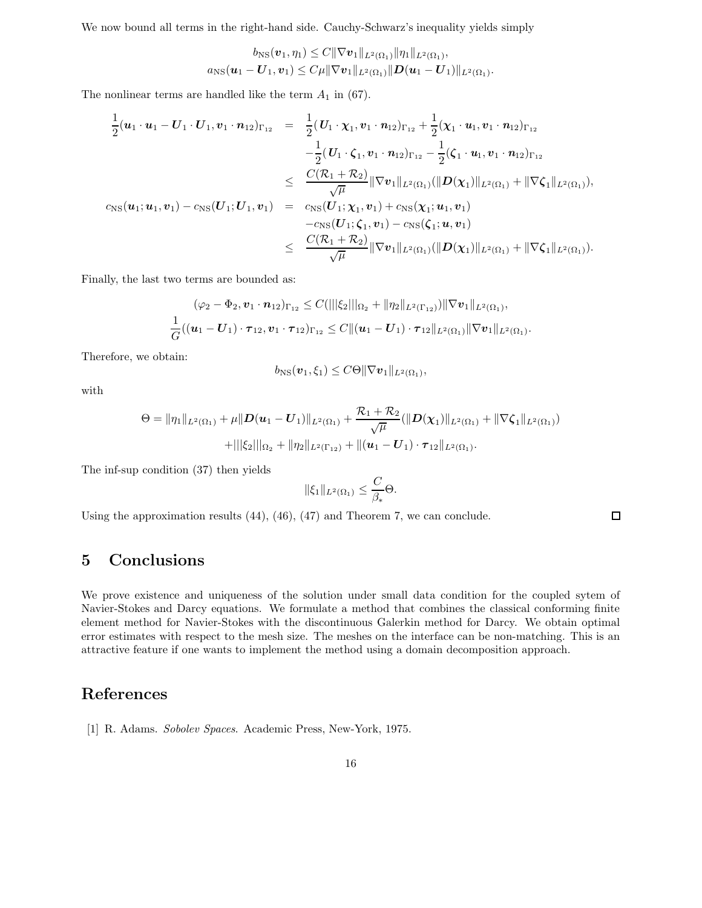We now bound all terms in the right-hand side. Cauchy-Schwarz's inequality yields simply

$$
b_{\rm NS}(\boldsymbol{v}_1,\eta_1) \leq C \|\nabla \boldsymbol{v}_1\|_{L^2(\Omega_1)} \|\eta_1\|_{L^2(\Omega_1)},
$$
  

$$
a_{\rm NS}(\boldsymbol{u}_1 - \boldsymbol{U}_1, \boldsymbol{v}_1) \leq C\mu \|\nabla \boldsymbol{v}_1\|_{L^2(\Omega_1)} \|\boldsymbol{D}(\boldsymbol{u}_1 - \boldsymbol{U}_1)\|_{L^2(\Omega_1)}.
$$

The nonlinear terms are handled like the term  $A_1$  in (67).

$$
\frac{1}{2}(\boldsymbol{u}_{1}\cdot\boldsymbol{u}_{1}-\boldsymbol{U}_{1}\cdot\boldsymbol{U}_{1},\boldsymbol{v}_{1}\cdot\boldsymbol{n}_{12})_{\Gamma_{12}} = \frac{1}{2}(\boldsymbol{U}_{1}\cdot\boldsymbol{\chi}_{1},\boldsymbol{v}_{1}\cdot\boldsymbol{n}_{12})_{\Gamma_{12}} + \frac{1}{2}(\boldsymbol{\chi}_{1}\cdot\boldsymbol{u}_{1},\boldsymbol{v}_{1}\cdot\boldsymbol{n}_{12})_{\Gamma_{12}} \n- \frac{1}{2}(\boldsymbol{U}_{1}\cdot\boldsymbol{\zeta}_{1},\boldsymbol{v}_{1}\cdot\boldsymbol{n}_{12})_{\Gamma_{12}} - \frac{1}{2}(\boldsymbol{\zeta}_{1}\cdot\boldsymbol{u}_{1},\boldsymbol{v}_{1}\cdot\boldsymbol{n}_{12})_{\Gamma_{12}} \n\leq \frac{C(\mathcal{R}_{1}+\mathcal{R}_{2})}{\sqrt{\mu}} \|\nabla \boldsymbol{v}_{1}\|_{L^{2}(\Omega_{1})} (\|\boldsymbol{D}(\boldsymbol{\chi}_{1})\|_{L^{2}(\Omega_{1})} + \|\nabla \boldsymbol{\zeta}_{1}\|_{L^{2}(\Omega_{1})}),
$$
\n
$$
c_{\mathrm{NS}}(\boldsymbol{u}_{1};\boldsymbol{u}_{1},\boldsymbol{v}_{1}) - c_{\mathrm{NS}}(\boldsymbol{U}_{1};\boldsymbol{U}_{1},\boldsymbol{v}_{1}) = \frac{c_{\mathrm{NS}}(\boldsymbol{U}_{1};\boldsymbol{\chi}_{1},\boldsymbol{v}_{1}) + c_{\mathrm{NS}}(\boldsymbol{\chi}_{1};\boldsymbol{u}_{1},\boldsymbol{v}_{1})}{-c_{\mathrm{NS}}(\boldsymbol{U}_{1};\boldsymbol{\zeta}_{1},\boldsymbol{v}_{1}) - c_{\mathrm{NS}}(\boldsymbol{\zeta}_{1};\boldsymbol{u},\boldsymbol{v}_{1})} \n\leq \frac{C(\mathcal{R}_{1}+\mathcal{R}_{2})}{\sqrt{\mu}} \|\nabla \boldsymbol{v}_{1}\|_{L^{2}(\Omega_{1})} (\|\boldsymbol{D}(\boldsymbol{\chi}_{1})\|_{L^{2}(\Omega_{1})} + \|\nabla \boldsymbol{\zeta}_{1}\|_{L^{2}(\Omega_{1}))}).
$$

Finally, the last two terms are bounded as:

$$
(\varphi_2 - \Phi_2, \mathbf{v}_1 \cdot \mathbf{n}_{12})_{\Gamma_{12}} \leq C(|||\xi_2|||_{\Omega_2} + \|\eta_2\|_{L^2(\Gamma_{12})}) \|\nabla \mathbf{v}_1\|_{L^2(\Omega_1)},
$$
  

$$
\frac{1}{G}((\mathbf{u}_1 - \mathbf{U}_1) \cdot \boldsymbol{\tau}_{12}, \mathbf{v}_1 \cdot \boldsymbol{\tau}_{12})_{\Gamma_{12}} \leq C \|(\mathbf{u}_1 - \mathbf{U}_1) \cdot \boldsymbol{\tau}_{12}\|_{L^2(\Omega_1)} \|\nabla \mathbf{v}_1\|_{L^2(\Omega_1)}.
$$

Therefore, we obtain:

$$
b_{\text{NS}}(\boldsymbol{v}_1,\xi_1)\leq C\Theta\|\nabla\boldsymbol{v}_1\|_{L^2(\Omega_1)},
$$

with

$$
\Theta = \|\eta_1\|_{L^2(\Omega_1)} + \mu \|D(\mathbf{u}_1 - \mathbf{U}_1)\|_{L^2(\Omega_1)} + \frac{\mathcal{R}_1 + \mathcal{R}_2}{\sqrt{\mu}} (\|\mathbf{D}(\boldsymbol{\chi}_1)\|_{L^2(\Omega_1)} + \|\nabla \zeta_1\|_{L^2(\Omega_1)})
$$

$$
+ \| |\zeta_2| \|_{\Omega_2} + \|\eta_2\|_{L^2(\Gamma_{12})} + \|(\mathbf{u}_1 - \mathbf{U}_1) \cdot \boldsymbol{\tau}_{12}\|_{L^2(\Omega_1)}.
$$

The inf-sup condition (37) then yields

$$
\|\xi_1\|_{L^2(\Omega_1)} \leq \frac{C}{\beta_*} \Theta.
$$

Using the approximation results (44), (46), (47) and Theorem 7, we can conclude.

 $\Box$ 

## 5 Conclusions

We prove existence and uniqueness of the solution under small data condition for the coupled sytem of Navier-Stokes and Darcy equations. We formulate a method that combines the classical conforming finite element method for Navier-Stokes with the discontinuous Galerkin method for Darcy. We obtain optimal error estimates with respect to the mesh size. The meshes on the interface can be non-matching. This is an attractive feature if one wants to implement the method using a domain decomposition approach.

### References

[1] R. Adams. Sobolev Spaces. Academic Press, New-York, 1975.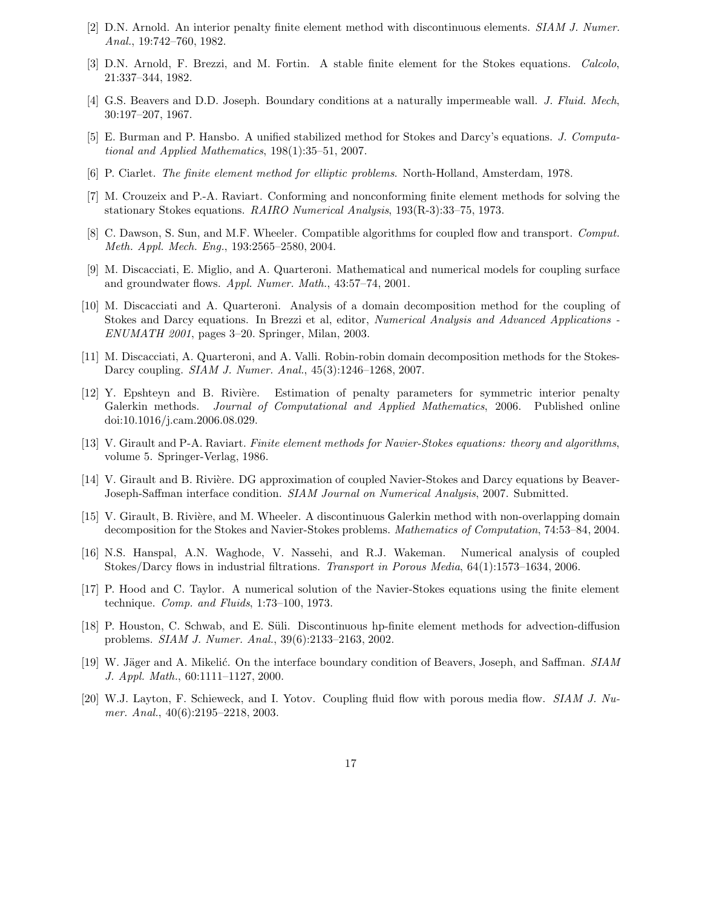- [2] D.N. Arnold. An interior penalty finite element method with discontinuous elements. SIAM J. Numer. Anal., 19:742–760, 1982.
- [3] D.N. Arnold, F. Brezzi, and M. Fortin. A stable finite element for the Stokes equations. Calcolo, 21:337–344, 1982.
- [4] G.S. Beavers and D.D. Joseph. Boundary conditions at a naturally impermeable wall. J. Fluid. Mech, 30:197–207, 1967.
- [5] E. Burman and P. Hansbo. A unified stabilized method for Stokes and Darcy's equations. J. Computational and Applied Mathematics, 198(1):35–51, 2007.
- [6] P. Ciarlet. The finite element method for elliptic problems. North-Holland, Amsterdam, 1978.
- [7] M. Crouzeix and P.-A. Raviart. Conforming and nonconforming finite element methods for solving the stationary Stokes equations. RAIRO Numerical Analysis, 193(R-3):33–75, 1973.
- [8] C. Dawson, S. Sun, and M.F. Wheeler. Compatible algorithms for coupled flow and transport. Comput. Meth. Appl. Mech. Eng., 193:2565–2580, 2004.
- [9] M. Discacciati, E. Miglio, and A. Quarteroni. Mathematical and numerical models for coupling surface and groundwater flows. Appl. Numer. Math., 43:57–74, 2001.
- [10] M. Discacciati and A. Quarteroni. Analysis of a domain decomposition method for the coupling of Stokes and Darcy equations. In Brezzi et al, editor, Numerical Analysis and Advanced Applications -ENUMATH 2001, pages 3–20. Springer, Milan, 2003.
- [11] M. Discacciati, A. Quarteroni, and A. Valli. Robin-robin domain decomposition methods for the Stokes-Darcy coupling. SIAM J. Numer. Anal., 45(3):1246–1268, 2007.
- [12] Y. Epshteyn and B. Rivière. Estimation of penalty parameters for symmetric interior penalty Galerkin methods. Journal of Computational and Applied Mathematics, 2006. Published online doi:10.1016/j.cam.2006.08.029.
- [13] V. Girault and P-A. Raviart. Finite element methods for Navier-Stokes equations: theory and algorithms, volume 5. Springer-Verlag, 1986.
- [14] V. Girault and B. Rivière. DG approximation of coupled Navier-Stokes and Darcy equations by Beaver-Joseph-Saffman interface condition. SIAM Journal on Numerical Analysis, 2007. Submitted.
- [15] V. Girault, B. Rivière, and M. Wheeler. A discontinuous Galerkin method with non-overlapping domain decomposition for the Stokes and Navier-Stokes problems. Mathematics of Computation, 74:53–84, 2004.
- [16] N.S. Hanspal, A.N. Waghode, V. Nassehi, and R.J. Wakeman. Numerical analysis of coupled Stokes/Darcy flows in industrial filtrations. Transport in Porous Media, 64(1):1573–1634, 2006.
- [17] P. Hood and C. Taylor. A numerical solution of the Navier-Stokes equations using the finite element technique. Comp. and Fluids, 1:73-100, 1973.
- [18] P. Houston, C. Schwab, and E. Süli. Discontinuous hp-finite element methods for advection-diffusion problems. SIAM J. Numer. Anal., 39(6):2133–2163, 2002.
- [19] W. Jäger and A. Mikelić. On the interface boundary condition of Beavers, Joseph, and Saffman. SIAM J. Appl. Math., 60:1111–1127, 2000.
- [20] W.J. Layton, F. Schieweck, and I. Yotov. Coupling fluid flow with porous media flow. SIAM J. Numer. Anal., 40(6):2195–2218, 2003.